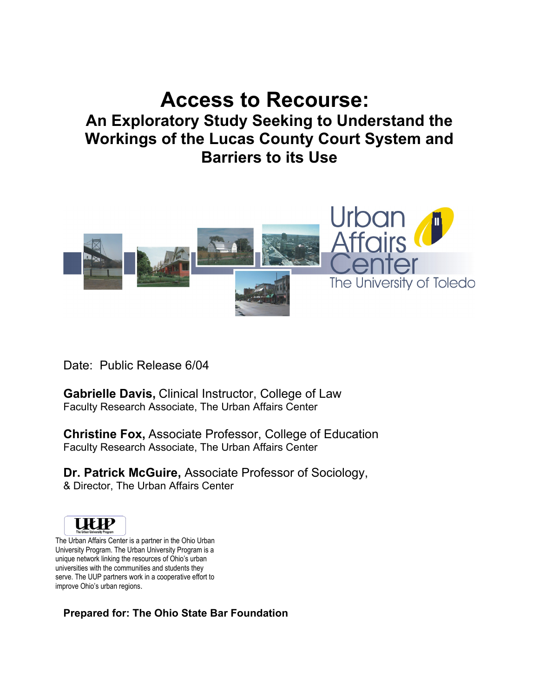# **Access to Recourse:**

# **An Exploratory Study Seeking to Understand the Workings of the Lucas County Court System and Barriers to its Use**



Date: Public Release 6/04

**Gabrielle Davis,** Clinical Instructor, College of Law Faculty Research Associate, The Urban Affairs Center

**Christine Fox,** Associate Professor, College of Education Faculty Research Associate, The Urban Affairs Center

**Dr. Patrick McGuire,** Associate Professor of Sociology, & Director, The Urban Affairs Center



The Urban Affairs Center is a partner in the Ohio Urban University Program. The Urban University Program is a unique network linking the resources of Ohio's urban universities with the communities and students they serve. The UUP partners work in a cooperative effort to improve Ohio's urban regions.

**Prepared for: The Ohio State Bar Foundation**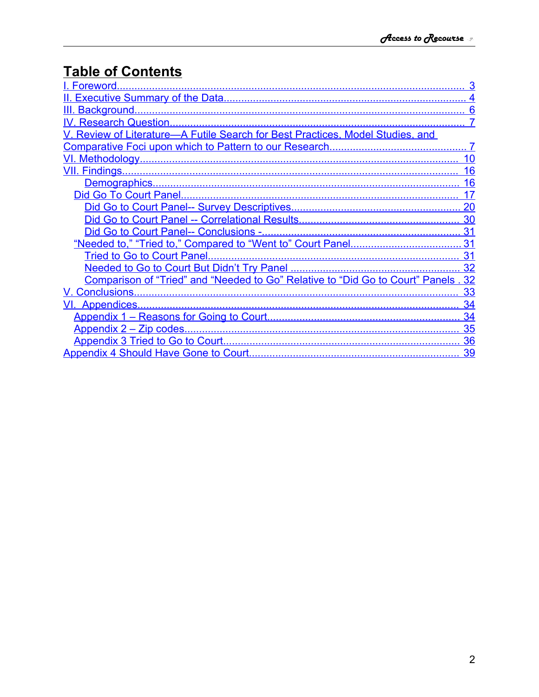# **Table of Contents**

| I. Foreword.                                                                       |    |
|------------------------------------------------------------------------------------|----|
|                                                                                    |    |
|                                                                                    |    |
|                                                                                    |    |
| V. Review of Literature-A Futile Search for Best Practices, Model Studies, and     |    |
|                                                                                    |    |
|                                                                                    | 10 |
|                                                                                    | 16 |
|                                                                                    | 16 |
|                                                                                    | 17 |
|                                                                                    | 20 |
|                                                                                    | 30 |
|                                                                                    | 31 |
|                                                                                    |    |
|                                                                                    |    |
|                                                                                    | 32 |
| Comparison of "Tried" and "Needed to Go" Relative to "Did Go to Court" Panels . 32 |    |
|                                                                                    | 33 |
|                                                                                    | 34 |
|                                                                                    | 34 |
|                                                                                    | 35 |
|                                                                                    | 36 |
|                                                                                    | 39 |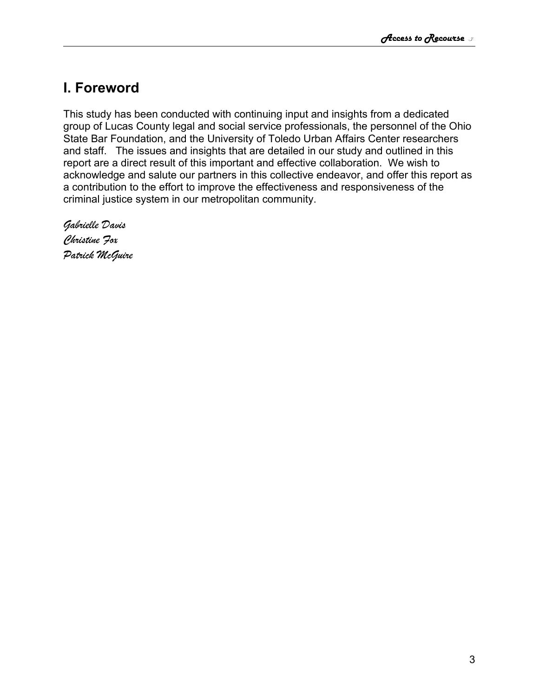# <span id="page-2-0"></span>**I. Foreword**

This study has been conducted with continuing input and insights from a dedicated group of Lucas County legal and social service professionals, the personnel of the Ohio State Bar Foundation, and the University of Toledo Urban Affairs Center researchers and staff. The issues and insights that are detailed in our study and outlined in this report are a direct result of this important and effective collaboration. We wish to acknowledge and salute our partners in this collective endeavor, and offer this report as a contribution to the effort to improve the effectiveness and responsiveness of the criminal justice system in our metropolitan community.

*Gabrielle Davis Christine Fox Patrick McGuire*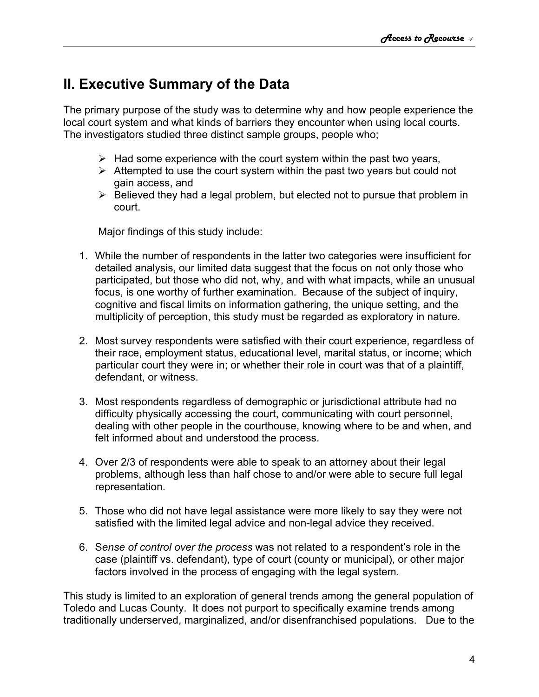# <span id="page-3-0"></span>**II. Executive Summary of the Data**

The primary purpose of the study was to determine why and how people experience the local court system and what kinds of barriers they encounter when using local courts. The investigators studied three distinct sample groups, people who;

- $\triangleright$  Had some experience with the court system within the past two years,
- $\triangleright$  Attempted to use the court system within the past two years but could not gain access, and
- $\triangleright$  Believed they had a legal problem, but elected not to pursue that problem in court.

Major findings of this study include:

- 1. While the number of respondents in the latter two categories were insufficient for detailed analysis, our limited data suggest that the focus on not only those who participated, but those who did not, why, and with what impacts, while an unusual focus, is one worthy of further examination. Because of the subject of inquiry, cognitive and fiscal limits on information gathering, the unique setting, and the multiplicity of perception, this study must be regarded as exploratory in nature.
- 2. Most survey respondents were satisfied with their court experience, regardless of their race, employment status, educational level, marital status, or income; which particular court they were in; or whether their role in court was that of a plaintiff, defendant, or witness.
- 3. Most respondents regardless of demographic or jurisdictional attribute had no difficulty physically accessing the court, communicating with court personnel, dealing with other people in the courthouse, knowing where to be and when, and felt informed about and understood the process.
- 4. Over 2/3 of respondents were able to speak to an attorney about their legal problems, although less than half chose to and/or were able to secure full legal representation.
- 5. Those who did not have legal assistance were more likely to say they were not satisfied with the limited legal advice and non-legal advice they received.
- 6. S*ense of control over the process* was not related to a respondent's role in the case (plaintiff vs. defendant), type of court (county or municipal), or other major factors involved in the process of engaging with the legal system.

This study is limited to an exploration of general trends among the general population of Toledo and Lucas County. It does not purport to specifically examine trends among traditionally underserved, marginalized, and/or disenfranchised populations. Due to the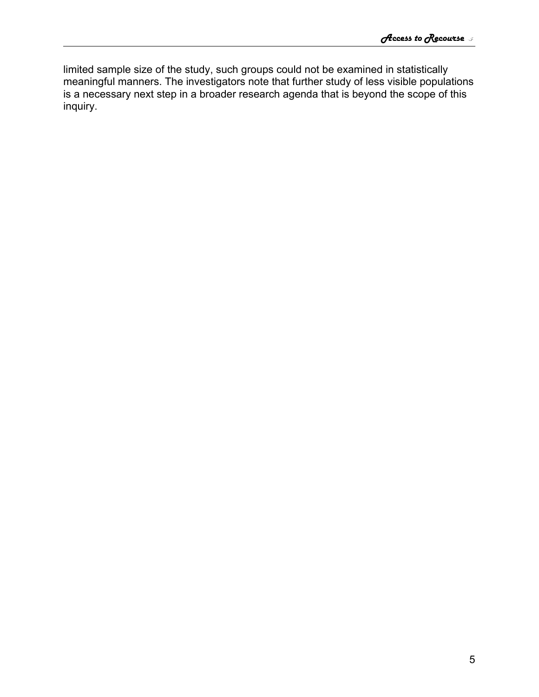limited sample size of the study, such groups could not be examined in statistically meaningful manners. The investigators note that further study of less visible populations is a necessary next step in a broader research agenda that is beyond the scope of this inquiry.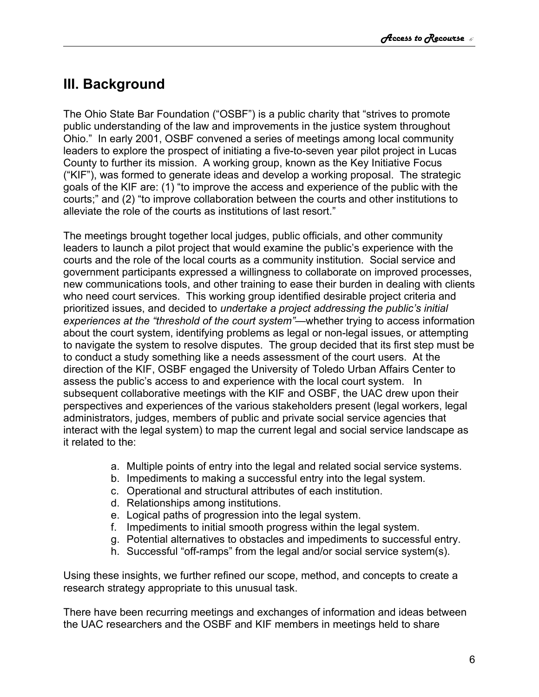# <span id="page-5-0"></span>**III. Background**

The Ohio State Bar Foundation ("OSBF") is a public charity that "strives to promote public understanding of the law and improvements in the justice system throughout Ohio." In early 2001, OSBF convened a series of meetings among local community leaders to explore the prospect of initiating a five-to-seven year pilot project in Lucas County to further its mission. A working group, known as the Key Initiative Focus ("KIF"), was formed to generate ideas and develop a working proposal. The strategic goals of the KIF are: (1) "to improve the access and experience of the public with the courts;" and (2) "to improve collaboration between the courts and other institutions to alleviate the role of the courts as institutions of last resort."

The meetings brought together local judges, public officials, and other community leaders to launch a pilot project that would examine the public's experience with the courts and the role of the local courts as a community institution. Social service and government participants expressed a willingness to collaborate on improved processes, new communications tools, and other training to ease their burden in dealing with clients who need court services. This working group identified desirable project criteria and prioritized issues, and decided to *undertake a project addressing the public's initial experiences at the "threshold of the court system"—*whether trying to access information about the court system, identifying problems as legal or non-legal issues, or attempting to navigate the system to resolve disputes. The group decided that its first step must be to conduct a study something like a needs assessment of the court users. At the direction of the KIF, OSBF engaged the University of Toledo Urban Affairs Center to assess the public's access to and experience with the local court system. In subsequent collaborative meetings with the KIF and OSBF, the UAC drew upon their perspectives and experiences of the various stakeholders present (legal workers, legal administrators, judges, members of public and private social service agencies that interact with the legal system) to map the current legal and social service landscape as it related to the:

- a. Multiple points of entry into the legal and related social service systems.
- b. Impediments to making a successful entry into the legal system.
- c. Operational and structural attributes of each institution.
- d. Relationships among institutions.
- e. Logical paths of progression into the legal system.
- f. Impediments to initial smooth progress within the legal system.
- g. Potential alternatives to obstacles and impediments to successful entry.
- h. Successful "off-ramps" from the legal and/or social service system(s).

Using these insights, we further refined our scope, method, and concepts to create a research strategy appropriate to this unusual task.

There have been recurring meetings and exchanges of information and ideas between the UAC researchers and the OSBF and KIF members in meetings held to share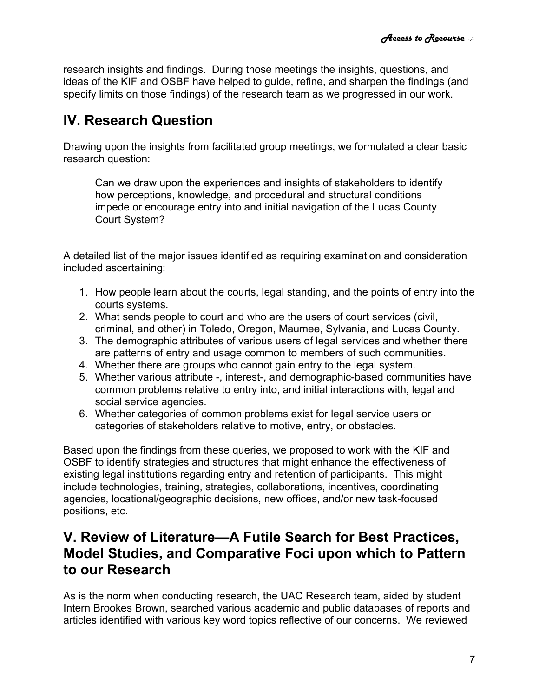research insights and findings. During those meetings the insights, questions, and ideas of the KIF and OSBF have helped to guide, refine, and sharpen the findings (and specify limits on those findings) of the research team as we progressed in our work.

# <span id="page-6-1"></span>**IV. Research Question**

Drawing upon the insights from facilitated group meetings, we formulated a clear basic research question:

Can we draw upon the experiences and insights of stakeholders to identify how perceptions, knowledge, and procedural and structural conditions impede or encourage entry into and initial navigation of the Lucas County Court System?

A detailed list of the major issues identified as requiring examination and consideration included ascertaining:

- 1. How people learn about the courts, legal standing, and the points of entry into the courts systems.
- 2. What sends people to court and who are the users of court services (civil, criminal, and other) in Toledo, Oregon, Maumee, Sylvania, and Lucas County.
- 3. The demographic attributes of various users of legal services and whether there are patterns of entry and usage common to members of such communities.
- 4. Whether there are groups who cannot gain entry to the legal system.
- 5. Whether various attribute -, interest-, and demographic-based communities have common problems relative to entry into, and initial interactions with, legal and social service agencies.
- 6. Whether categories of common problems exist for legal service users or categories of stakeholders relative to motive, entry, or obstacles.

Based upon the findings from these queries, we proposed to work with the KIF and OSBF to identify strategies and structures that might enhance the effectiveness of existing legal institutions regarding entry and retention of participants. This might include technologies, training, strategies, collaborations, incentives, coordinating agencies, locational/geographic decisions, new offices, and/or new task-focused positions, etc.

# <span id="page-6-0"></span>**V. Review of Literature—A Futile Search for Best Practices, Model Studies, and Comparative Foci upon which to Pattern to our Research**

As is the norm when conducting research, the UAC Research team, aided by student Intern Brookes Brown, searched various academic and public databases of reports and articles identified with various key word topics reflective of our concerns. We reviewed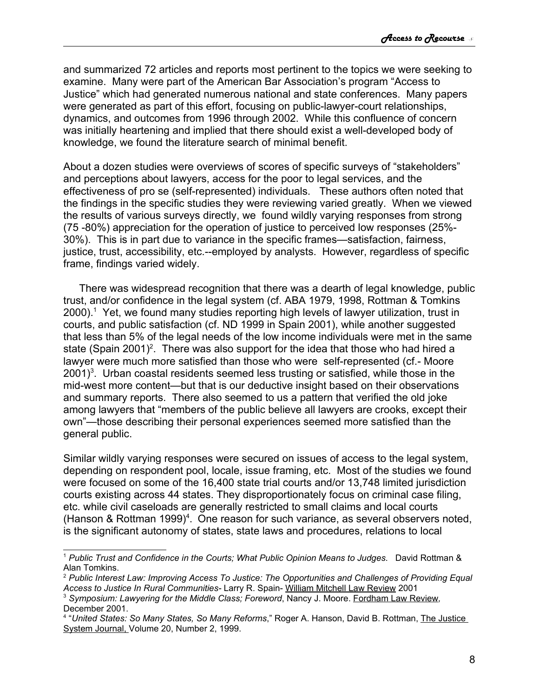and summarized 72 articles and reports most pertinent to the topics we were seeking to examine. Many were part of the American Bar Association's program "Access to Justice" which had generated numerous national and state conferences. Many papers were generated as part of this effort, focusing on public-lawyer-court relationships, dynamics, and outcomes from 1996 through 2002. While this confluence of concern was initially heartening and implied that there should exist a well-developed body of knowledge, we found the literature search of minimal benefit.

About a dozen studies were overviews of scores of specific surveys of "stakeholders" and perceptions about lawyers, access for the poor to legal services, and the effectiveness of pro se (self-represented) individuals. These authors often noted that the findings in the specific studies they were reviewing varied greatly. When we viewed the results of various surveys directly, we found wildly varying responses from strong (75 -80%) appreciation for the operation of justice to perceived low responses (25%- 30%). This is in part due to variance in the specific frames—satisfaction, fairness, justice, trust, accessibility, etc.--employed by analysts. However, regardless of specific frame, findings varied widely.

There was widespread recognition that there was a dearth of legal knowledge, public trust, and/or confidence in the legal system (cf. ABA 1979, 1998, Rottman & Tomkins 2000).<sup>[1](#page-7-0)</sup> Yet, we found many studies reporting high levels of lawyer utilization, trust in courts, and public satisfaction (cf. ND 1999 in Spain 2001), while another suggested that less than 5% of the legal needs of the low income individuals were met in the same state (Spain [2](#page-7-1)001)<sup>2</sup>. There was also support for the idea that those who had hired a lawyer were much more satisfied than those who were self-represented (cf.- Moore  $2001$ <sup>[3](#page-7-2)</sup>. Urban coastal residents seemed less trusting or satisfied, while those in the mid-west more content—but that is our deductive insight based on their observations and summary reports. There also seemed to us a pattern that verified the old joke among lawyers that "members of the public believe all lawyers are crooks, except their own"—those describing their personal experiences seemed more satisfied than the general public.

Similar wildly varying responses were secured on issues of access to the legal system, depending on respondent pool, locale, issue framing, etc. Most of the studies we found were focused on some of the 16,400 state trial courts and/or 13,748 limited jurisdiction courts existing across 44 states. They disproportionately focus on criminal case filing, etc. while civil caseloads are generally restricted to small claims and local courts (Hanson & Rottman 1999) [4](#page-7-3) . One reason for such variance, as several observers noted, is the significant autonomy of states, state laws and procedures, relations to local

<span id="page-7-0"></span><sup>1</sup> *Public Trust and Confidence in the Courts; What Public Opinion Means to Judges*. David Rottman & Alan Tomkins.

<span id="page-7-1"></span><sup>2</sup> *Public Interest Law: Improving Access To Justice: The Opportunities and Challenges of Providing Equal Access to Justice In Rural Communities-* Larry R. Spain- William Mitchell Law Review 2001

<span id="page-7-2"></span><sup>3</sup> *Symposium: Lawyering for the Middle Class; Foreword*, Nancy J. Moore. Fordham Law Review*,* December 2001.

<span id="page-7-3"></span><sup>4</sup> "*United States: So Many States, So Many Reforms*," Roger A. Hanson, David B. Rottman, The Justice System Journal, Volume 20, Number 2, 1999.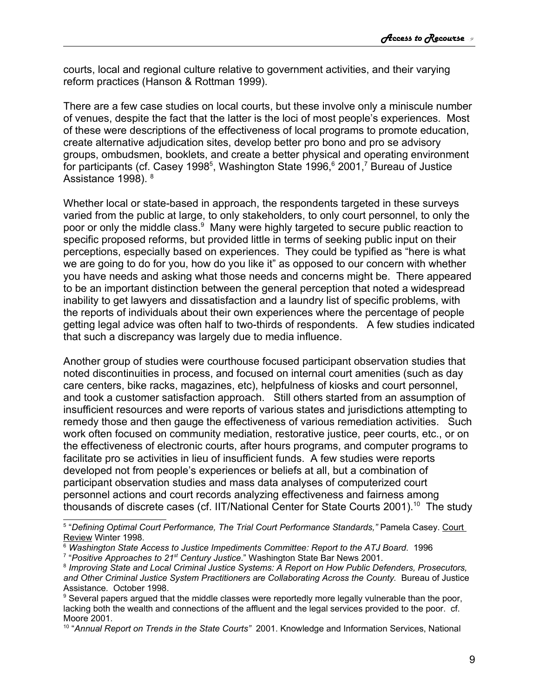courts, local and regional culture relative to government activities, and their varying reform practices (Hanson & Rottman 1999).

There are a few case studies on local courts, but these involve only a miniscule number of venues, despite the fact that the latter is the loci of most people's experiences. Most of these were descriptions of the effectiveness of local programs to promote education, create alternative adjudication sites, develop better pro bono and pro se advisory groups, ombudsmen, booklets, and create a better physical and operating environment for participants (cf. Casey 1998<sup>[5](#page-8-0)</sup>, Washington State 199[6](#page-8-1),  $6$  2001,  $7$  Bureau of Justice Assistance 1998). [8](#page-8-3)

Whether local or state-based in approach, the respondents targeted in these surveys varied from the public at large, to only stakeholders, to only court personnel, to only the poor or only the middle class.<sup>[9](#page-8-4)</sup> Many were highly targeted to secure public reaction to specific proposed reforms, but provided little in terms of seeking public input on their perceptions, especially based on experiences. They could be typified as "here is what we are going to do for you, how do you like it" as opposed to our concern with whether you have needs and asking what those needs and concerns might be. There appeared to be an important distinction between the general perception that noted a widespread inability to get lawyers and dissatisfaction and a laundry list of specific problems, with the reports of individuals about their own experiences where the percentage of people getting legal advice was often half to two-thirds of respondents. A few studies indicated that such a discrepancy was largely due to media influence.

Another group of studies were courthouse focused participant observation studies that noted discontinuities in process, and focused on internal court amenities (such as day care centers, bike racks, magazines, etc), helpfulness of kiosks and court personnel, and took a customer satisfaction approach. Still others started from an assumption of insufficient resources and were reports of various states and jurisdictions attempting to remedy those and then gauge the effectiveness of various remediation activities. Such work often focused on community mediation, restorative justice, peer courts, etc., or on the effectiveness of electronic courts, after hours programs, and computer programs to facilitate pro se activities in lieu of insufficient funds. A few studies were reports developed not from people's experiences or beliefs at all, but a combination of participant observation studies and mass data analyses of computerized court personnel actions and court records analyzing effectiveness and fairness among thousands of discrete cases (cf. IIT/National Center for State Courts 2001).<sup>[10](#page-8-5)</sup> The study

<span id="page-8-0"></span><sup>5</sup> "*Defining Optimal Court Performance, The Trial Court Performance Standards,"* Pamela Casey. Court Review Winter 1998.

<span id="page-8-1"></span><sup>6</sup> *Washington State Access to Justice Impediments Committee: Report to the ATJ Board*. 1996

<span id="page-8-2"></span><sup>&</sup>lt;sup>7</sup> "Positive Approaches to 21<sup>st</sup> Century Justice." Washington State Bar News 2001.

<span id="page-8-3"></span><sup>8</sup> *Improving State and Local Criminal Justice Systems: A Report on How Public Defenders, Prosecutors, and Other Criminal Justice System Practitioners are Collaborating Across the County.* Bureau of Justice Assistance*.* October 1998.

<span id="page-8-4"></span><sup>&</sup>lt;sup>9</sup> Several papers argued that the middle classes were reportedly more legally vulnerable than the poor, lacking both the wealth and connections of the affluent and the legal services provided to the poor. cf. Moore 2001.

<span id="page-8-5"></span><sup>10</sup> "*Annual Report on Trends in the State Courts"* 2001. Knowledge and Information Services, National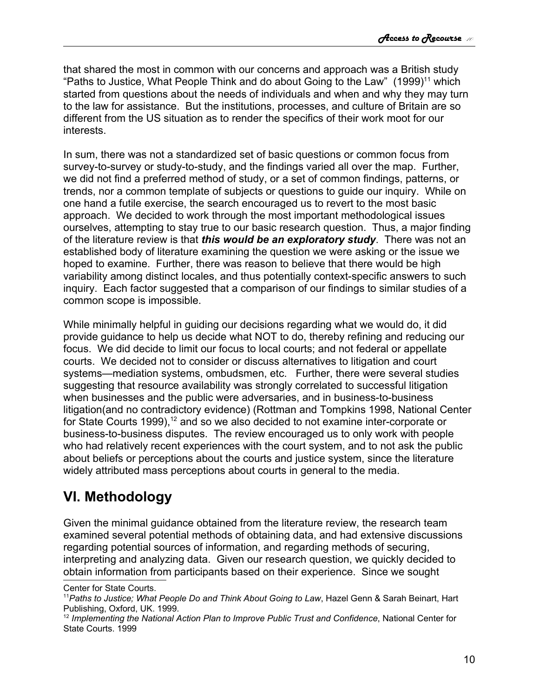that shared the most in common with our concerns and approach was a British study "Paths to Justice, What People Think and do about Going to the Law" (1999)<sup>[11](#page-9-1)</sup> which started from questions about the needs of individuals and when and why they may turn to the law for assistance. But the institutions, processes, and culture of Britain are so different from the US situation as to render the specifics of their work moot for our interests.

In sum, there was not a standardized set of basic questions or common focus from survey-to-survey or study-to-study, and the findings varied all over the map. Further, we did not find a preferred method of study, or a set of common findings, patterns, or trends, nor a common template of subjects or questions to guide our inquiry. While on one hand a futile exercise, the search encouraged us to revert to the most basic approach. We decided to work through the most important methodological issues ourselves, attempting to stay true to our basic research question. Thus, a major finding of the literature review is that *this would be an exploratory study*. There was not an established body of literature examining the question we were asking or the issue we hoped to examine. Further, there was reason to believe that there would be high variability among distinct locales, and thus potentially context-specific answers to such inquiry. Each factor suggested that a comparison of our findings to similar studies of a common scope is impossible.

While minimally helpful in guiding our decisions regarding what we would do, it did provide guidance to help us decide what NOT to do, thereby refining and reducing our focus. We did decide to limit our focus to local courts; and not federal or appellate courts. We decided not to consider or discuss alternatives to litigation and court systems—mediation systems, ombudsmen, etc. Further, there were several studies suggesting that resource availability was strongly correlated to successful litigation when businesses and the public were adversaries, and in business-to-business litigation(and no contradictory evidence) (Rottman and Tompkins 1998, National Center for State Courts 1999), $12$  and so we also decided to not examine inter-corporate or business-to-business disputes. The review encouraged us to only work with people who had relatively recent experiences with the court system, and to not ask the public about beliefs or perceptions about the courts and justice system, since the literature widely attributed mass perceptions about courts in general to the media.

# <span id="page-9-0"></span>**VI. Methodology**

Given the minimal guidance obtained from the literature review, the research team examined several potential methods of obtaining data, and had extensive discussions regarding potential sources of information, and regarding methods of securing, interpreting and analyzing data. Given our research question, we quickly decided to obtain information from participants based on their experience. Since we sought

Center for State Courts.

<span id="page-9-1"></span><sup>11</sup>*Paths to Justice; What People Do and Think About Going to Law*, Hazel Genn & Sarah Beinart, Hart Publishing, Oxford, UK. 1999.

<span id="page-9-2"></span><sup>12</sup> *Implementing the National Action Plan to Improve Public Trust and Confidence*, National Center for State Courts. 1999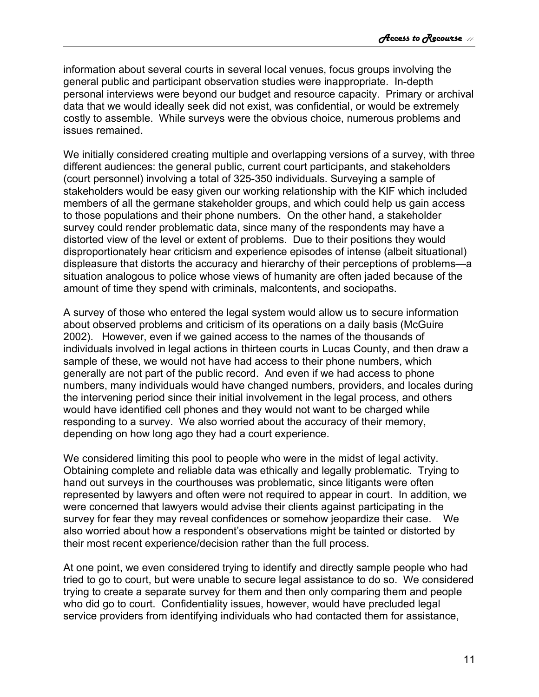information about several courts in several local venues, focus groups involving the general public and participant observation studies were inappropriate. In-depth personal interviews were beyond our budget and resource capacity. Primary or archival data that we would ideally seek did not exist, was confidential, or would be extremely costly to assemble. While surveys were the obvious choice, numerous problems and issues remained.

We initially considered creating multiple and overlapping versions of a survey, with three different audiences: the general public, current court participants, and stakeholders (court personnel) involving a total of 325-350 individuals. Surveying a sample of stakeholders would be easy given our working relationship with the KIF which included members of all the germane stakeholder groups, and which could help us gain access to those populations and their phone numbers. On the other hand, a stakeholder survey could render problematic data, since many of the respondents may have a distorted view of the level or extent of problems. Due to their positions they would disproportionately hear criticism and experience episodes of intense (albeit situational) displeasure that distorts the accuracy and hierarchy of their perceptions of problems—a situation analogous to police whose views of humanity are often jaded because of the amount of time they spend with criminals, malcontents, and sociopaths.

A survey of those who entered the legal system would allow us to secure information about observed problems and criticism of its operations on a daily basis (McGuire 2002). However, even if we gained access to the names of the thousands of individuals involved in legal actions in thirteen courts in Lucas County, and then draw a sample of these, we would not have had access to their phone numbers, which generally are not part of the public record. And even if we had access to phone numbers, many individuals would have changed numbers, providers, and locales during the intervening period since their initial involvement in the legal process, and others would have identified cell phones and they would not want to be charged while responding to a survey. We also worried about the accuracy of their memory, depending on how long ago they had a court experience.

We considered limiting this pool to people who were in the midst of legal activity. Obtaining complete and reliable data was ethically and legally problematic. Trying to hand out surveys in the courthouses was problematic, since litigants were often represented by lawyers and often were not required to appear in court. In addition, we were concerned that lawyers would advise their clients against participating in the survey for fear they may reveal confidences or somehow jeopardize their case. We also worried about how a respondent's observations might be tainted or distorted by their most recent experience/decision rather than the full process.

At one point, we even considered trying to identify and directly sample people who had tried to go to court, but were unable to secure legal assistance to do so. We considered trying to create a separate survey for them and then only comparing them and people who did go to court. Confidentiality issues, however, would have precluded legal service providers from identifying individuals who had contacted them for assistance,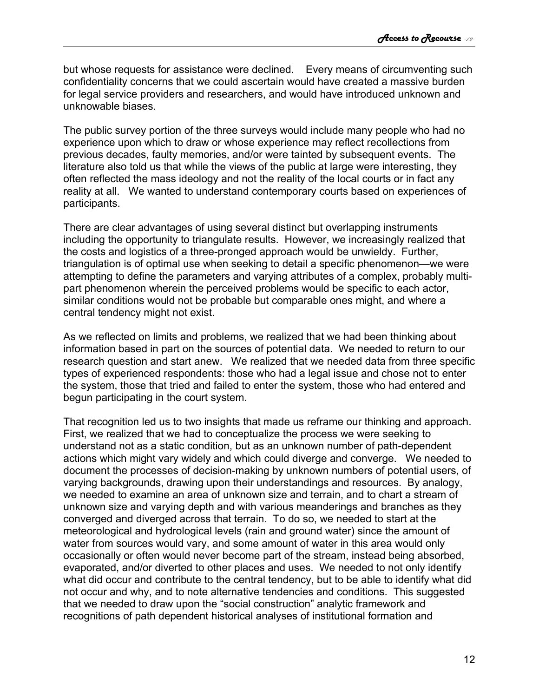but whose requests for assistance were declined. Every means of circumventing such confidentiality concerns that we could ascertain would have created a massive burden for legal service providers and researchers, and would have introduced unknown and unknowable biases.

The public survey portion of the three surveys would include many people who had no experience upon which to draw or whose experience may reflect recollections from previous decades, faulty memories, and/or were tainted by subsequent events. The literature also told us that while the views of the public at large were interesting, they often reflected the mass ideology and not the reality of the local courts or in fact any reality at all. We wanted to understand contemporary courts based on experiences of participants.

There are clear advantages of using several distinct but overlapping instruments including the opportunity to triangulate results. However, we increasingly realized that the costs and logistics of a three-pronged approach would be unwieldy. Further, triangulation is of optimal use when seeking to detail a specific phenomenon—we were attempting to define the parameters and varying attributes of a complex, probably multipart phenomenon wherein the perceived problems would be specific to each actor, similar conditions would not be probable but comparable ones might, and where a central tendency might not exist.

As we reflected on limits and problems, we realized that we had been thinking about information based in part on the sources of potential data. We needed to return to our research question and start anew. We realized that we needed data from three specific types of experienced respondents: those who had a legal issue and chose not to enter the system, those that tried and failed to enter the system, those who had entered and begun participating in the court system.

That recognition led us to two insights that made us reframe our thinking and approach. First, we realized that we had to conceptualize the process we were seeking to understand not as a static condition, but as an unknown number of path-dependent actions which might vary widely and which could diverge and converge. We needed to document the processes of decision-making by unknown numbers of potential users, of varying backgrounds, drawing upon their understandings and resources. By analogy, we needed to examine an area of unknown size and terrain, and to chart a stream of unknown size and varying depth and with various meanderings and branches as they converged and diverged across that terrain. To do so, we needed to start at the meteorological and hydrological levels (rain and ground water) since the amount of water from sources would vary, and some amount of water in this area would only occasionally or often would never become part of the stream, instead being absorbed, evaporated, and/or diverted to other places and uses. We needed to not only identify what did occur and contribute to the central tendency, but to be able to identify what did not occur and why, and to note alternative tendencies and conditions. This suggested that we needed to draw upon the "social construction" analytic framework and recognitions of path dependent historical analyses of institutional formation and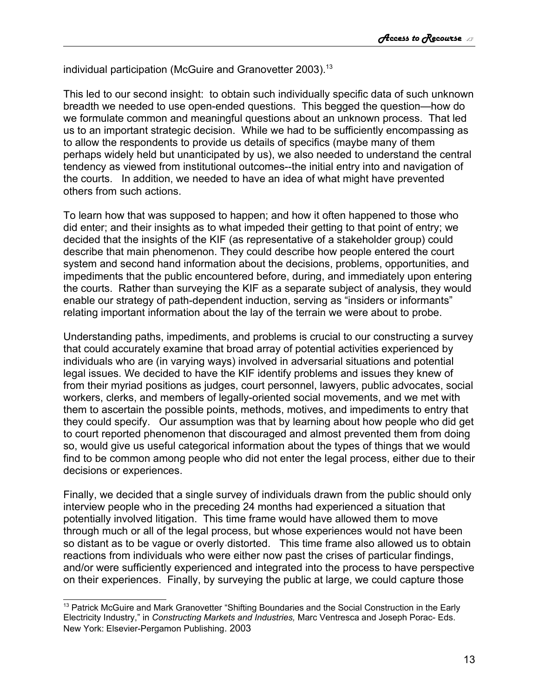individual participation (McGuire and Granovetter 2003).<sup>[13](#page-12-0)</sup>

This led to our second insight: to obtain such individually specific data of such unknown breadth we needed to use open-ended questions. This begged the question—how do we formulate common and meaningful questions about an unknown process. That led us to an important strategic decision. While we had to be sufficiently encompassing as to allow the respondents to provide us details of specifics (maybe many of them perhaps widely held but unanticipated by us), we also needed to understand the central tendency as viewed from institutional outcomes--the initial entry into and navigation of the courts. In addition, we needed to have an idea of what might have prevented others from such actions.

To learn how that was supposed to happen; and how it often happened to those who did enter; and their insights as to what impeded their getting to that point of entry; we decided that the insights of the KIF (as representative of a stakeholder group) could describe that main phenomenon. They could describe how people entered the court system and second hand information about the decisions, problems, opportunities, and impediments that the public encountered before, during, and immediately upon entering the courts. Rather than surveying the KIF as a separate subject of analysis, they would enable our strategy of path-dependent induction, serving as "insiders or informants" relating important information about the lay of the terrain we were about to probe.

Understanding paths, impediments, and problems is crucial to our constructing a survey that could accurately examine that broad array of potential activities experienced by individuals who are (in varying ways) involved in adversarial situations and potential legal issues. We decided to have the KIF identify problems and issues they knew of from their myriad positions as judges, court personnel, lawyers, public advocates, social workers, clerks, and members of legally-oriented social movements, and we met with them to ascertain the possible points, methods, motives, and impediments to entry that they could specify. Our assumption was that by learning about how people who did get to court reported phenomenon that discouraged and almost prevented them from doing so, would give us useful categorical information about the types of things that we would find to be common among people who did not enter the legal process, either due to their decisions or experiences.

Finally, we decided that a single survey of individuals drawn from the public should only interview people who in the preceding 24 months had experienced a situation that potentially involved litigation. This time frame would have allowed them to move through much or all of the legal process, but whose experiences would not have been so distant as to be vague or overly distorted. This time frame also allowed us to obtain reactions from individuals who were either now past the crises of particular findings, and/or were sufficiently experienced and integrated into the process to have perspective on their experiences. Finally, by surveying the public at large, we could capture those

<span id="page-12-0"></span> $13$  Patrick McGuire and Mark Granovetter "Shifting Boundaries and the Social Construction in the Early Electricity Industry," in *Constructing Markets and Industries,* Marc Ventresca and Joseph Porac- Eds. New York: Elsevier-Pergamon Publishing. 2003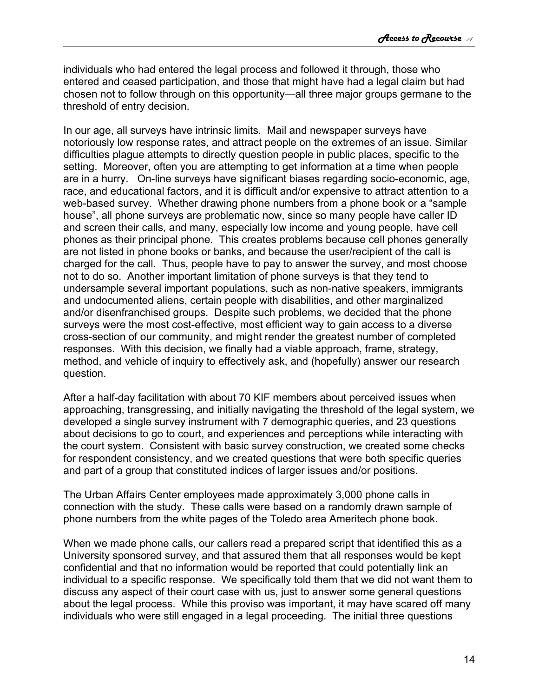individuals who had entered the legal process and followed it through, those who entered and ceased participation, and those that might have had a legal claim but had chosen not to follow through on this opportunity—all three major groups germane to the threshold of entry decision.

In our age, all surveys have intrinsic limits. Mail and newspaper surveys have notoriously low response rates, and attract people on the extremes of an issue. Similar difficulties plague attempts to directly question people in public places, specific to the setting. Moreover, often you are attempting to get information at a time when people are in a hurry. On-line surveys have significant biases regarding socio-economic, age, race, and educational factors, and it is difficult and/or expensive to attract attention to a web-based survey. Whether drawing phone numbers from a phone book or a "sample house", all phone surveys are problematic now, since so many people have caller ID and screen their calls, and many, especially low income and young people, have cell phones as their principal phone. This creates problems because cell phones generally are not listed in phone books or banks, and because the user/recipient of the call is charged for the call. Thus, people have to pay to answer the survey, and most choose not to do so. Another important limitation of phone surveys is that they tend to undersample several important populations, such as non-native speakers, immigrants and undocumented aliens, certain people with disabilities, and other marginalized and/or disenfranchised groups. Despite such problems, we decided that the phone surveys were the most cost-effective, most efficient way to gain access to a diverse cross-section of our community, and might render the greatest number of completed responses. With this decision, we finally had a viable approach, frame, strategy, method, and vehicle of inquiry to effectively ask, and (hopefully) answer our research question.

After a half-day facilitation with about 70 KIF members about perceived issues when approaching, transgressing, and initially navigating the threshold of the legal system, we developed a single survey instrument with 7 demographic queries, and 23 questions about decisions to go to court, and experiences and perceptions while interacting with the court system. Consistent with basic survey construction, we created some checks for respondent consistency, and we created questions that were both specific queries and part of a group that constituted indices of larger issues and/or positions.

The Urban Affairs Center employees made approximately 3,000 phone calls in connection with the study. These calls were based on a randomly drawn sample of phone numbers from the white pages of the Toledo area Ameritech phone book.

When we made phone calls, our callers read a prepared script that identified this as a University sponsored survey, and that assured them that all responses would be kept confidential and that no information would be reported that could potentially link an individual to a specific response. We specifically told them that we did not want them to discuss any aspect of their court case with us, just to answer some general questions about the legal process. While this proviso was important, it may have scared off many individuals who were still engaged in a legal proceeding. The initial three questions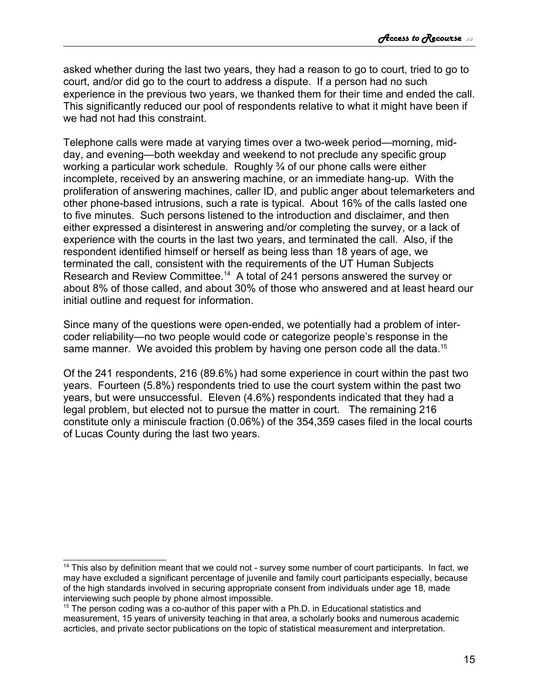asked whether during the last two years, they had a reason to go to court, tried to go to court, and/or did go to the court to address a dispute. If a person had no such experience in the previous two years, we thanked them for their time and ended the call. This significantly reduced our pool of respondents relative to what it might have been if we had not had this constraint.

Telephone calls were made at varying times over a two-week period—morning, midday, and evening—both weekday and weekend to not preclude any specific group working a particular work schedule. Roughly ¾ of our phone calls were either incomplete, received by an answering machine, or an immediate hang-up. With the proliferation of answering machines, caller ID, and public anger about telemarketers and other phone-based intrusions, such a rate is typical. About 16% of the calls lasted one to five minutes. Such persons listened to the introduction and disclaimer, and then either expressed a disinterest in answering and/or completing the survey, or a lack of experience with the courts in the last two years, and terminated the call. Also, if the respondent identified himself or herself as being less than 18 years of age, we terminated the call, consistent with the requirements of the UT Human Subjects Research and Review Committee.<sup>[14](#page-14-0)</sup> A total of 241 persons answered the survey or about 8% of those called, and about 30% of those who answered and at least heard our initial outline and request for information.

Since many of the questions were open-ended, we potentially had a problem of intercoder reliability—no two people would code or categorize people's response in the same manner. We avoided this problem by having one person code all the data.<sup>[15](#page-14-1)</sup>

Of the 241 respondents, 216 (89.6%) had some experience in court within the past two years. Fourteen (5.8%) respondents tried to use the court system within the past two years, but were unsuccessful. Eleven (4.6%) respondents indicated that they had a legal problem, but elected not to pursue the matter in court. The remaining 216 constitute only a miniscule fraction (0.06%) of the 354,359 cases filed in the local courts of Lucas County during the last two years.

<span id="page-14-0"></span><sup>&</sup>lt;sup>14</sup> This also by definition meant that we could not - survey some number of court participants. In fact, we may have excluded a significant percentage of juvenile and family court participants especially, because of the high standards involved in securing appropriate consent from individuals under age 18, made interviewing such people by phone almost impossible.

<span id="page-14-1"></span> $15$  The person coding was a co-author of this paper with a Ph.D. in Educational statistics and measurement, 15 years of university teaching in that area, a scholarly books and numerous academic acrticles, and private sector publications on the topic of statistical measurement and interpretation.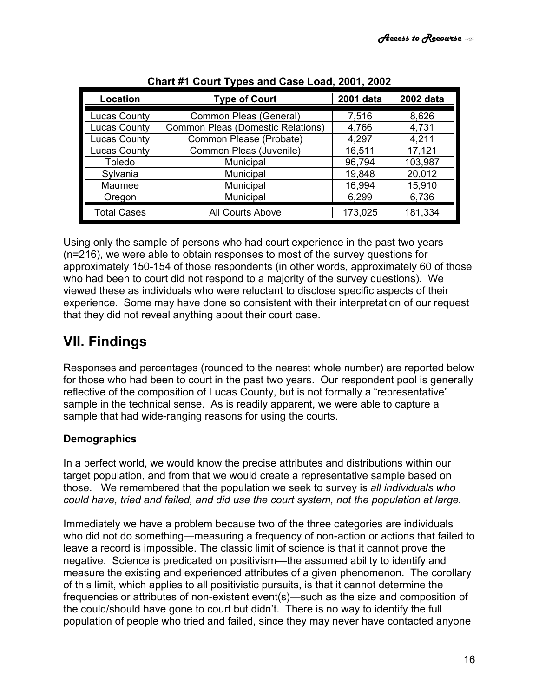| Location            | <b>Type of Court</b>                     | 2001 data | 2002 data |
|---------------------|------------------------------------------|-----------|-----------|
| <b>Lucas County</b> | Common Pleas (General)                   | 7,516     | 8,626     |
| <b>Lucas County</b> | <b>Common Pleas (Domestic Relations)</b> | 4,766     | 4,731     |
| <b>Lucas County</b> | Common Please (Probate)                  | 4,297     | 4,211     |
| <b>Lucas County</b> | Common Pleas (Juvenile)                  | 16,511    | 17,121    |
| <b>Toledo</b>       | Municipal                                | 96,794    | 103,987   |
| Sylvania            | Municipal                                | 19,848    | 20,012    |
| Maumee              | Municipal                                | 16,994    | 15,910    |
| Oregon              | Municipal                                | 6,299     | 6,736     |
| <b>Total Cases</b>  | All Courts Above                         | 173,025   | 181,334   |

**Chart #1 Court Types and Case Load, 2001, 2002**

Using only the sample of persons who had court experience in the past two years (n=216), we were able to obtain responses to most of the survey questions for approximately 150-154 of those respondents (in other words, approximately 60 of those who had been to court did not respond to a majority of the survey questions). We viewed these as individuals who were reluctant to disclose specific aspects of their experience. Some may have done so consistent with their interpretation of our request that they did not reveal anything about their court case.

# <span id="page-15-1"></span>**VII. Findings**

Responses and percentages (rounded to the nearest whole number) are reported below for those who had been to court in the past two years. Our respondent pool is generally reflective of the composition of Lucas County, but is not formally a "representative" sample in the technical sense. As is readily apparent, we were able to capture a sample that had wide-ranging reasons for using the courts.

## <span id="page-15-0"></span>**Demographics**

In a perfect world, we would know the precise attributes and distributions within our target population, and from that we would create a representative sample based on those. We remembered that the population we seek to survey is *all individuals who could have, tried and failed, and did use the court system, not the population at large.*

Immediately we have a problem because two of the three categories are individuals who did not do something—measuring a frequency of non-action or actions that failed to leave a record is impossible. The classic limit of science is that it cannot prove the negative. Science is predicated on positivism—the assumed ability to identify and measure the existing and experienced attributes of a given phenomenon. The corollary of this limit, which applies to all positivistic pursuits, is that it cannot determine the frequencies or attributes of non-existent event(s)—such as the size and composition of the could/should have gone to court but didn't. There is no way to identify the full population of people who tried and failed, since they may never have contacted anyone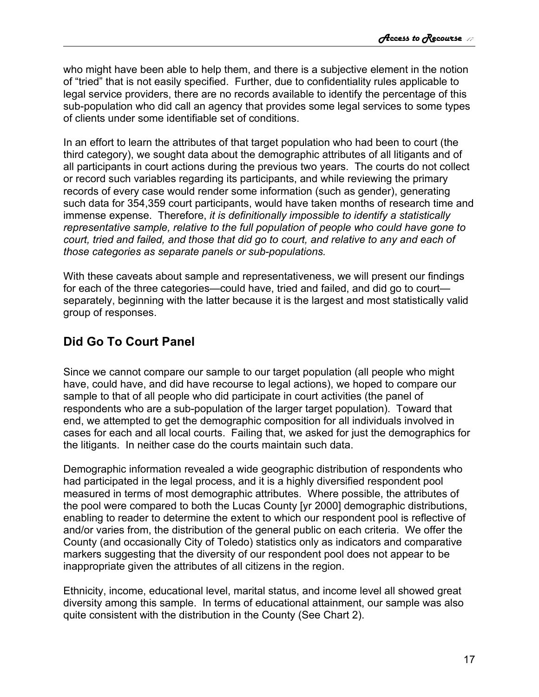who might have been able to help them, and there is a subjective element in the notion of "tried" that is not easily specified. Further, due to confidentiality rules applicable to legal service providers, there are no records available to identify the percentage of this sub-population who did call an agency that provides some legal services to some types of clients under some identifiable set of conditions.

In an effort to learn the attributes of that target population who had been to court (the third category), we sought data about the demographic attributes of all litigants and of all participants in court actions during the previous two years. The courts do not collect or record such variables regarding its participants, and while reviewing the primary records of every case would render some information (such as gender), generating such data for 354,359 court participants, would have taken months of research time and immense expense. Therefore, *it is definitionally impossible to identify a statistically representative sample, relative to the full population of people who could have gone to court, tried and failed, and those that did go to court, and relative to any and each of those categories as separate panels or sub-populations.*

With these caveats about sample and representativeness, we will present our findings for each of the three categories—could have, tried and failed, and did go to court separately, beginning with the latter because it is the largest and most statistically valid group of responses.

## <span id="page-16-0"></span>**Did Go To Court Panel**

Since we cannot compare our sample to our target population (all people who might have, could have, and did have recourse to legal actions), we hoped to compare our sample to that of all people who did participate in court activities (the panel of respondents who are a sub-population of the larger target population). Toward that end, we attempted to get the demographic composition for all individuals involved in cases for each and all local courts. Failing that, we asked for just the demographics for the litigants. In neither case do the courts maintain such data.

Demographic information revealed a wide geographic distribution of respondents who had participated in the legal process, and it is a highly diversified respondent pool measured in terms of most demographic attributes. Where possible, the attributes of the pool were compared to both the Lucas County [yr 2000] demographic distributions, enabling to reader to determine the extent to which our respondent pool is reflective of and/or varies from, the distribution of the general public on each criteria. We offer the County (and occasionally City of Toledo) statistics only as indicators and comparative markers suggesting that the diversity of our respondent pool does not appear to be inappropriate given the attributes of all citizens in the region.

Ethnicity, income, educational level, marital status, and income level all showed great diversity among this sample. In terms of educational attainment, our sample was also quite consistent with the distribution in the County (See Chart 2).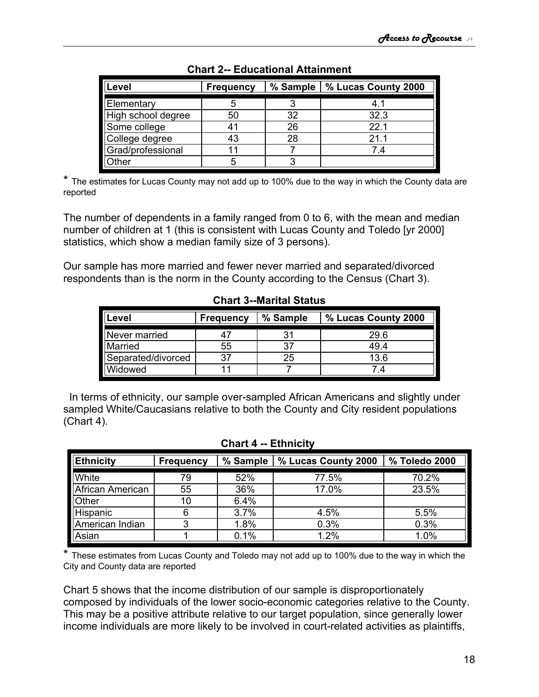| Level              | <b>Frequency</b> | % Sample | % Lucas County 2000 |
|--------------------|------------------|----------|---------------------|
| Elementary         |                  | ິ        | 4.1                 |
| High school degree | 50               | 32       | 32.3                |
| Some college       |                  | 26       | 221                 |
| College degree     | 43               | 28       | 21.1                |
| Grad/professional  |                  |          | 74                  |
| Other              |                  | 2        |                     |

**Chart 2-- Educational Attainment**

\* The estimates for Lucas County may not add up to 100% due to the way in which the County data are reported

The number of dependents in a family ranged from 0 to 6, with the mean and median number of children at 1 (this is consistent with Lucas County and Toledo [yr 2000] statistics, which show a median family size of 3 persons).

Our sample has more married and fewer never married and separated/divorced respondents than is the norm in the County according to the Census (Chart 3).

| Level              | <b>Frequency</b> | % Sample | % Lucas County 2000 |
|--------------------|------------------|----------|---------------------|
| Never married      |                  | 31       | 29.6                |
| Married            | 55               | 37       | 49.4                |
| Separated/divorced | 37               | 25       | 13.6                |
| Widowed            |                  |          | 4.                  |

**Chart 3--Marital Status**

In terms of ethnicity, our sample over-sampled African Americans and slightly under sampled White/Caucasians relative to both the County and City resident populations (Chart 4).

| <b>Ethnicity</b> | <b>Frequency</b> | % Sample | % Lucas County 2000 | % Toledo 2000 |
|------------------|------------------|----------|---------------------|---------------|
| White            | 79               | 52%      | 77.5%               | 70.2%         |
| African American | 55               | 36%      | 17.0%               | 23.5%         |
| Other            | 10               | 6.4%     |                     |               |
| Hispanic         | 6                | 3.7%     | 4.5%                | 5.5%          |
| American Indian  | っ                | 1.8%     | 0.3%                | 0.3%          |
| Asian            |                  | 0.1%     | 1.2%                | 1.0%          |

#### **Chart 4 -- Ethnicity**

\* These estimates from Lucas County and Toledo may not add up to 100% due to the way in which the City and County data are reported

Chart 5 shows that the income distribution of our sample is disproportionately composed by individuals of the lower socio-economic categories relative to the County. This may be a positive attribute relative to our target population, since generally lower income individuals are more likely to be involved in court-related activities as plaintiffs,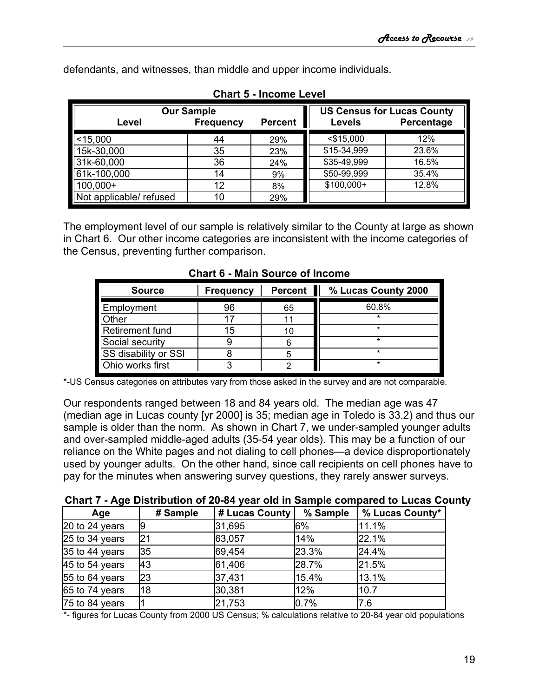defendants, and witnesses, than middle and upper income individuals.

| <b>Our Sample</b>       |                  |                |               | <b>US Census for Lucas County</b> |
|-------------------------|------------------|----------------|---------------|-----------------------------------|
| Level                   | <b>Frequency</b> | <b>Percent</b> | <b>Levels</b> | Percentage                        |
| $<$ 15,000              | 44               | 29%            | $<$ \$15,000  | 12%                               |
| 15k-30,000              | 35               | 23%            | \$15-34,999   | 23.6%                             |
| 31k-60,000              | 36               | 24%            | \$35-49,999   | 16.5%                             |
| 61k-100,000             | 14               | 9%             | \$50-99,999   | 35.4%                             |
| 100,000+                | 12               | 8%             | $$100,000+$   | 12.8%                             |
| Not applicable/ refused | 10               | 29%            |               |                                   |

**Chart 5 - Income Level**

The employment level of our sample is relatively similar to the County at large as shown in Chart 6. Our other income categories are inconsistent with the income categories of the Census, preventing further comparison.

| <b>Source</b>               | <b>Frequency</b> | <b>Percent</b> | % Lucas County 2000 |
|-----------------------------|------------------|----------------|---------------------|
| Employment                  | 96               | 65             | 60.8%               |
| )ther                       |                  |                | ÷                   |
| Retirement fund             | 15               | 10             | ÷                   |
| Social security             |                  |                | ÷                   |
| <b>SS disability or SSI</b> |                  |                | *                   |
| Ohio works first            |                  |                | ÷                   |

**Chart 6 - Main Source of Income**

\*-US Census categories on attributes vary from those asked in the survey and are not comparable.

Our respondents ranged between 18 and 84 years old. The median age was 47 (median age in Lucas county [yr 2000] is 35; median age in Toledo is 33.2) and thus our sample is older than the norm. As shown in Chart 7, we under-sampled younger adults and over-sampled middle-aged adults (35-54 year olds). This may be a function of our reliance on the White pages and not dialing to cell phones—a device disproportionately used by younger adults. On the other hand, since call recipients on cell phones have to pay for the minutes when answering survey questions, they rarely answer surveys.

| Age                    | # Sample | # Lucas County | % Sample | % Lucas County* |
|------------------------|----------|----------------|----------|-----------------|
| $\vert$ 20 to 24 years | 19       | 31,695         | l6%      | 11.1%           |
| $25$ to 34 years       | 21       | 63,057         | 14%      | 22.1%           |
| $35$ to 44 years       | 35       | 69,454         | 23.3%    | 24.4%           |
| $45$ to 54 years       | 43       | 61,406         | 28.7%    | 21.5%           |
| 55 to 64 years         | 23       | 37,431         | 15.4%    | 13.1%           |
| $65$ to 74 years       | 18       | 30,381         | 12%      | 10.7            |
| 75 to 84 years         |          | 21,753         | 10.7%    | 17.6            |

\*- figures for Lucas County from 2000 US Census; % calculations relative to 20-84 year old populations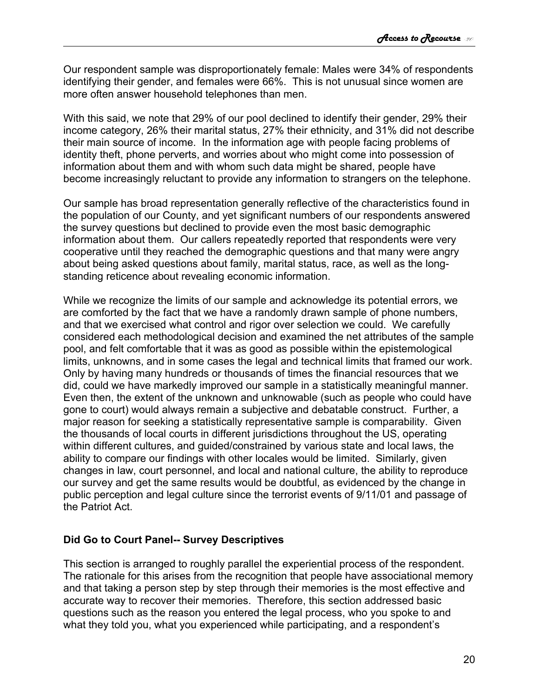Our respondent sample was disproportionately female: Males were 34% of respondents identifying their gender, and females were 66%. This is not unusual since women are more often answer household telephones than men.

With this said, we note that 29% of our pool declined to identify their gender, 29% their income category, 26% their marital status, 27% their ethnicity, and 31% did not describe their main source of income. In the information age with people facing problems of identity theft, phone perverts, and worries about who might come into possession of information about them and with whom such data might be shared, people have become increasingly reluctant to provide any information to strangers on the telephone.

Our sample has broad representation generally reflective of the characteristics found in the population of our County, and yet significant numbers of our respondents answered the survey questions but declined to provide even the most basic demographic information about them. Our callers repeatedly reported that respondents were very cooperative until they reached the demographic questions and that many were angry about being asked questions about family, marital status, race, as well as the longstanding reticence about revealing economic information.

While we recognize the limits of our sample and acknowledge its potential errors, we are comforted by the fact that we have a randomly drawn sample of phone numbers, and that we exercised what control and rigor over selection we could. We carefully considered each methodological decision and examined the net attributes of the sample pool, and felt comfortable that it was as good as possible within the epistemological limits, unknowns, and in some cases the legal and technical limits that framed our work. Only by having many hundreds or thousands of times the financial resources that we did, could we have markedly improved our sample in a statistically meaningful manner. Even then, the extent of the unknown and unknowable (such as people who could have gone to court) would always remain a subjective and debatable construct. Further, a major reason for seeking a statistically representative sample is comparability. Given the thousands of local courts in different jurisdictions throughout the US, operating within different cultures, and guided/constrained by various state and local laws, the ability to compare our findings with other locales would be limited. Similarly, given changes in law, court personnel, and local and national culture, the ability to reproduce our survey and get the same results would be doubtful, as evidenced by the change in public perception and legal culture since the terrorist events of 9/11/01 and passage of the Patriot Act.

### <span id="page-19-0"></span>**Did Go to Court Panel-- Survey Descriptives**

This section is arranged to roughly parallel the experiential process of the respondent. The rationale for this arises from the recognition that people have associational memory and that taking a person step by step through their memories is the most effective and accurate way to recover their memories. Therefore, this section addressed basic questions such as the reason you entered the legal process, who you spoke to and what they told you, what you experienced while participating, and a respondent's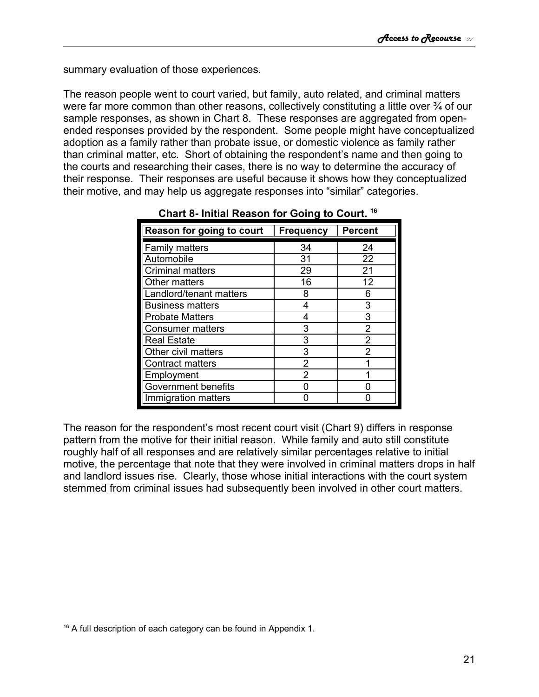summary evaluation of those experiences.

The reason people went to court varied, but family, auto related, and criminal matters were far more common than other reasons, collectively constituting a little over  $\frac{3}{4}$  of our sample responses, as shown in Chart 8. These responses are aggregated from openended responses provided by the respondent. Some people might have conceptualized adoption as a family rather than probate issue, or domestic violence as family rather than criminal matter, etc. Short of obtaining the respondent's name and then going to the courts and researching their cases, there is no way to determine the accuracy of their response. Their responses are useful because it shows how they conceptualized their motive, and may help us aggregate responses into "similar" categories.

| Reason for going to court  | <b>Frequency</b> | <b>Percent</b> |
|----------------------------|------------------|----------------|
| <b>Family matters</b>      | 34               | 24             |
| Automobile                 | 31               | 22             |
| <b>Criminal matters</b>    | 29               | 21             |
| Other matters              | 16               | 12             |
| Landlord/tenant matters    | 8                | 6              |
| <b>Business matters</b>    |                  | 3              |
| <b>Probate Matters</b>     | 4                | 3              |
| <b>Consumer matters</b>    | 3                | 2              |
| <b>Real Estate</b>         | 3                | 2              |
| Other civil matters        | 3                | 2              |
| <b>Contract matters</b>    | $\mathcal{P}$    |                |
| Employment                 | 2                |                |
| <b>Government benefits</b> |                  |                |
| Immigration matters        |                  |                |

**Chart 8- Initial Reason for Going to Court. [16](#page-20-0)**

The reason for the respondent's most recent court visit (Chart 9) differs in response pattern from the motive for their initial reason. While family and auto still constitute roughly half of all responses and are relatively similar percentages relative to initial motive, the percentage that note that they were involved in criminal matters drops in half and landlord issues rise. Clearly, those whose initial interactions with the court system stemmed from criminal issues had subsequently been involved in other court matters.

<span id="page-20-0"></span><sup>&</sup>lt;sup>16</sup> A full description of each category can be found in Appendix 1.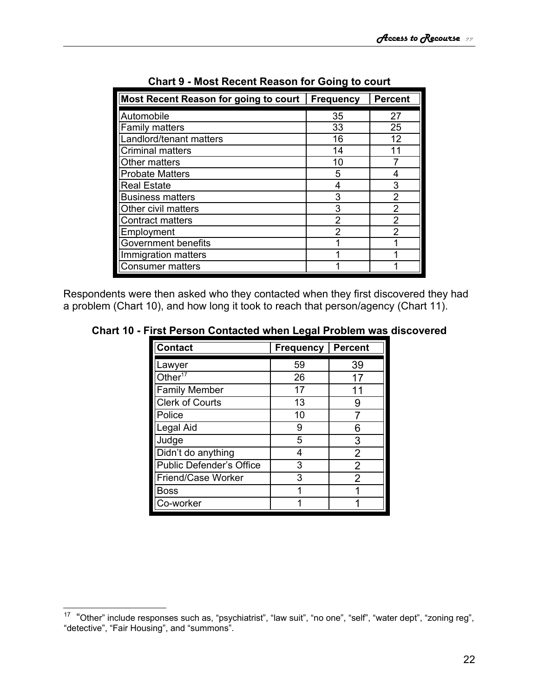| Most Recent Reason for going to court | <b>Frequency</b> | <b>Percent</b> |
|---------------------------------------|------------------|----------------|
| Automobile                            | 35               | 27             |
| <b>Family matters</b>                 | 33               | 25             |
| Landlord/tenant matters               | 16               | 12             |
| <b>Criminal matters</b>               | 14               | 11             |
| Other matters                         | 10               |                |
| <b>Probate Matters</b>                | 5                | 4              |
| <b>Real Estate</b>                    | 4                | 3              |
| <b>Business matters</b>               | 3                | 2              |
| Other civil matters                   | 3                | $\overline{2}$ |
| <b>Contract matters</b>               | 2                | 2              |
| Employment                            | 2                | 2              |
| <b>Government benefits</b>            |                  |                |
| Immigration matters                   |                  |                |
| <b>Consumer matters</b>               |                  |                |

| <b>Chart 9 - Most Recent Reason for Going to court</b> |  |  |  |  |  |
|--------------------------------------------------------|--|--|--|--|--|
|--------------------------------------------------------|--|--|--|--|--|

Respondents were then asked who they contacted when they first discovered they had a problem (Chart 10), and how long it took to reach that person/agency (Chart 11).

|  | Chart 10 - First Person Contacted when Legal Problem was discovered |  |  |  |
|--|---------------------------------------------------------------------|--|--|--|
|--|---------------------------------------------------------------------|--|--|--|

| <b>Contact</b>                  | <b>Frequency</b> | <b>Percent</b> |
|---------------------------------|------------------|----------------|
| Lawyer                          | 59               | 39             |
| Other $17$                      | 26               | 17             |
| <b>Family Member</b>            | 17               | 11             |
| <b>Clerk of Courts</b>          | 13               | 9              |
| Police                          | 10               |                |
| Legal Aid                       | 9                | 6              |
| Judge                           | 5                | 3              |
| Didn't do anything              | 4                | 2              |
| <b>Public Defender's Office</b> | 3                | 2              |
| Friend/Case Worker              | 3                | 2              |
| <b>Boss</b>                     |                  |                |
| Co-worker                       |                  |                |

<span id="page-21-0"></span><sup>&</sup>lt;sup>17</sup> "Other" include responses such as, "psychiatrist", "law suit", "no one", "self", "water dept", "zoning reg", "detective", "Fair Housing", and "summons".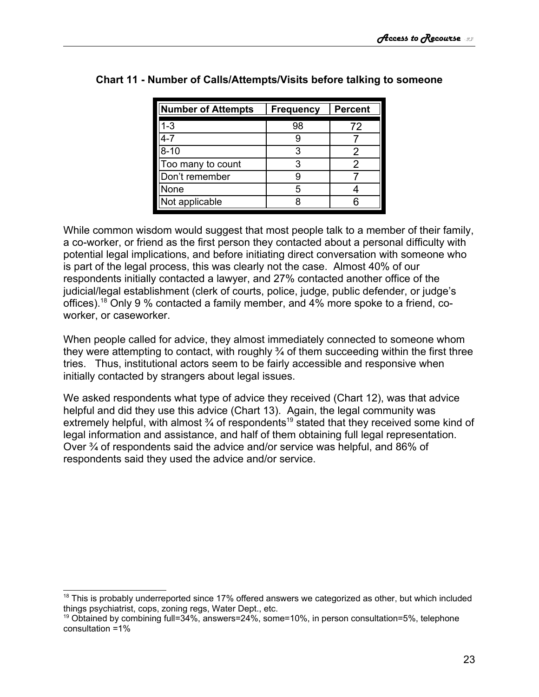| <b>Number of Attempts</b> | <b>Frequency</b> | <b>Percent</b> |
|---------------------------|------------------|----------------|
| 1-3                       | 98               | 72             |
| 4-7                       |                  |                |
| $8 - 10$                  | 3                | 2              |
| Too many to count         |                  | 2              |
| Don't remember            |                  |                |
| None                      |                  |                |
| Not applicable            |                  |                |

## **Chart 11 - Number of Calls/Attempts/Visits before talking to someone**

While common wisdom would suggest that most people talk to a member of their family, a co-worker, or friend as the first person they contacted about a personal difficulty with potential legal implications, and before initiating direct conversation with someone who is part of the legal process, this was clearly not the case. Almost 40% of our respondents initially contacted a lawyer, and 27% contacted another office of the judicial/legal establishment (clerk of courts, police, judge, public defender, or judge's offices).[18](#page-22-0) Only 9 % contacted a family member, and 4% more spoke to a friend, coworker, or caseworker.

When people called for advice, they almost immediately connected to someone whom they were attempting to contact, with roughly ¾ of them succeeding within the first three tries. Thus, institutional actors seem to be fairly accessible and responsive when initially contacted by strangers about legal issues.

We asked respondents what type of advice they received (Chart 12), was that advice helpful and did they use this advice (Chart 13). Again, the legal community was extremely helpful, with almost 3⁄4 of respondents<sup>[19](#page-22-1)</sup> stated that they received some kind of legal information and assistance, and half of them obtaining full legal representation. Over ¾ of respondents said the advice and/or service was helpful, and 86% of respondents said they used the advice and/or service.

<span id="page-22-0"></span> $18$  This is probably underreported since 17% offered answers we categorized as other, but which included things psychiatrist, cops, zoning regs, Water Dept., etc.

<span id="page-22-1"></span><sup>&</sup>lt;sup>19</sup> Obtained by combining full=34%, answers=24%, some=10%, in person consultation=5%, telephone consultation =1%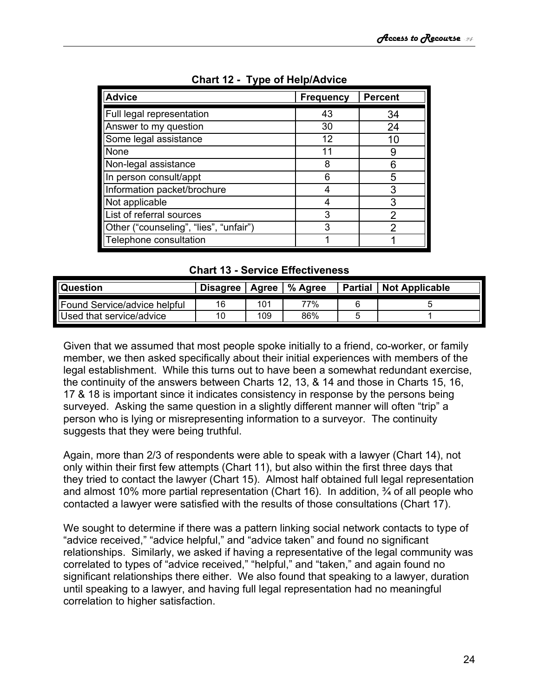| <b>Advice</b>                          | <b>Frequency</b> | <b>Percent</b> |
|----------------------------------------|------------------|----------------|
| Full legal representation              | 43               | 34             |
| Answer to my question                  | 30               | 24             |
| Some legal assistance                  | 12               | 10             |
| None                                   | 11               | 9              |
| Non-legal assistance                   | 8                | 6              |
| In person consult/appt                 | 6                | 5              |
| Information packet/brochure            |                  | 3              |
| Not applicable                         |                  | 3              |
| List of referral sources               | 3                | 2              |
| Other ("counseling", "lies", "unfair") | 3                | າ              |
| Telephone consultation                 |                  |                |

**Chart 12 - Type of Help/Advice**

| <b>Chart 13 - Service Effectiveness</b> |  |
|-----------------------------------------|--|
|-----------------------------------------|--|

| <b>Question</b>              | <b>Disagree</b> | Agree | % Agree | <b>Partial</b> | <b>Not Applicable</b> |
|------------------------------|-----------------|-------|---------|----------------|-----------------------|
| Found Service/advice helpful | 16              | 101   | 77%     |                |                       |
| Used that service/advice     | 10              | 109   | 86%     |                |                       |

Given that we assumed that most people spoke initially to a friend, co-worker, or family member, we then asked specifically about their initial experiences with members of the legal establishment. While this turns out to have been a somewhat redundant exercise, the continuity of the answers between Charts 12, 13, & 14 and those in Charts 15, 16, 17 & 18 is important since it indicates consistency in response by the persons being surveyed. Asking the same question in a slightly different manner will often "trip" a person who is lying or misrepresenting information to a surveyor. The continuity suggests that they were being truthful.

Again, more than 2/3 of respondents were able to speak with a lawyer (Chart 14), not only within their first few attempts (Chart 11), but also within the first three days that they tried to contact the lawyer (Chart 15). Almost half obtained full legal representation and almost 10% more partial representation (Chart 16). In addition, ¾ of all people who contacted a lawyer were satisfied with the results of those consultations (Chart 17).

We sought to determine if there was a pattern linking social network contacts to type of "advice received," "advice helpful," and "advice taken" and found no significant relationships. Similarly, we asked if having a representative of the legal community was correlated to types of "advice received," "helpful," and "taken," and again found no significant relationships there either. We also found that speaking to a lawyer, duration until speaking to a lawyer, and having full legal representation had no meaningful correlation to higher satisfaction.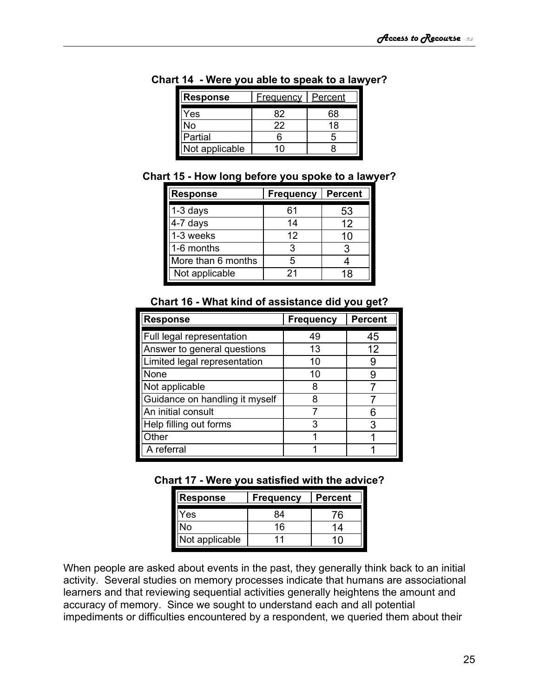| <b>Response</b> | <u>Frequency</u> | <u>Percent</u> |  |
|-----------------|------------------|----------------|--|
| Yes             | 82               | 68             |  |
| No              | 22               | 18             |  |
| Partial         | հ                | h              |  |
| Not applicable  | ۹∩               |                |  |

**Chart 14 - Were you able to speak to a lawyer?**

| Chart 15 - How long before you spoke to a lawyer? |  |  |  |
|---------------------------------------------------|--|--|--|
|---------------------------------------------------|--|--|--|

| <b>Response</b>    | <b>Frequency</b> | <b>Percent</b> |
|--------------------|------------------|----------------|
| $1-3$ days         | 61               | 53             |
| 4-7 days           | 14               | 12             |
| 1-3 weeks          | 12               | 10             |
| 1-6 months         | 3                | З              |
| More than 6 months | 5                |                |
| Not applicable     | 21               | 18             |

| <b>Response</b>                | <b>Frequency</b> | <b>Percent</b> |
|--------------------------------|------------------|----------------|
| Full legal representation      | 49               | 45             |
| Answer to general questions    | 13               | 12             |
| Limited legal representation   | 10               | 9              |
| None                           | 10               | g              |
| Not applicable                 | 8                |                |
| Guidance on handling it myself | 8                |                |
| An initial consult             |                  | հ              |
| Help filling out forms         | 3                | 3              |
| Other                          |                  |                |
| A referral                     |                  |                |

**Chart 16 - What kind of assistance did you get?**

## **Chart 17 - Were you satisfied with the advice?**

| Response       | <b>Frequency</b> | Percent |
|----------------|------------------|---------|
| Yes            | 84               | 76      |
| N٥             | 16               | 14      |
| Not applicable | 11               |         |

When people are asked about events in the past, they generally think back to an initial activity. Several studies on memory processes indicate that humans are associational learners and that reviewing sequential activities generally heightens the amount and accuracy of memory. Since we sought to understand each and all potential impediments or difficulties encountered by a respondent, we queried them about their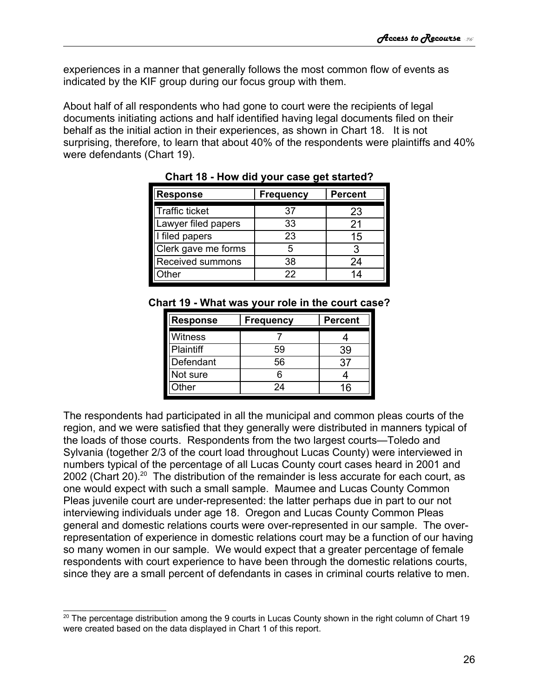experiences in a manner that generally follows the most common flow of events as indicated by the KIF group during our focus group with them.

About half of all respondents who had gone to court were the recipients of legal documents initiating actions and half identified having legal documents filed on their behalf as the initial action in their experiences, as shown in Chart 18. It is not surprising, therefore, to learn that about 40% of the respondents were plaintiffs and 40% were defendants (Chart 19).

| <b>Response</b>       | <b>Frequency</b> | <b>Percent</b> |
|-----------------------|------------------|----------------|
| <b>Traffic ticket</b> | 37               | 23             |
| Lawyer filed papers   | 33               | 21             |
| I filed papers        | 23               | 15             |
| Clerk gave me forms   | 5                | З              |
| Received summons      | 38               | 24             |
| )ther                 | 22               |                |

**Chart 18 - How did your case get started?**

|  | Chart 19 - What was your role in the court case? |
|--|--------------------------------------------------|
|--|--------------------------------------------------|

| <b>Response</b>  | <b>Frequency</b> | <b>Percent</b> |
|------------------|------------------|----------------|
| Witness          |                  |                |
| <b>Plaintiff</b> | 59               | 39             |
| Defendant        | 56               | 37             |
| Not sure         |                  |                |
| Other            | 24               | 16             |

The respondents had participated in all the municipal and common pleas courts of the region, and we were satisfied that they generally were distributed in manners typical of the loads of those courts. Respondents from the two largest courts—Toledo and Sylvania (together 2/3 of the court load throughout Lucas County) were interviewed in numbers typical of the percentage of all Lucas County court cases heard in 2001 and [20](#page-25-0)02 (Chart 20).<sup>20</sup> The distribution of the remainder is less accurate for each court, as one would expect with such a small sample. Maumee and Lucas County Common Pleas juvenile court are under-represented: the latter perhaps due in part to our not interviewing individuals under age 18. Oregon and Lucas County Common Pleas general and domestic relations courts were over-represented in our sample. The overrepresentation of experience in domestic relations court may be a function of our having so many women in our sample. We would expect that a greater percentage of female respondents with court experience to have been through the domestic relations courts, since they are a small percent of defendants in cases in criminal courts relative to men.

<span id="page-25-0"></span> $20$  The percentage distribution among the 9 courts in Lucas County shown in the right column of Chart 19 were created based on the data displayed in Chart 1 of this report.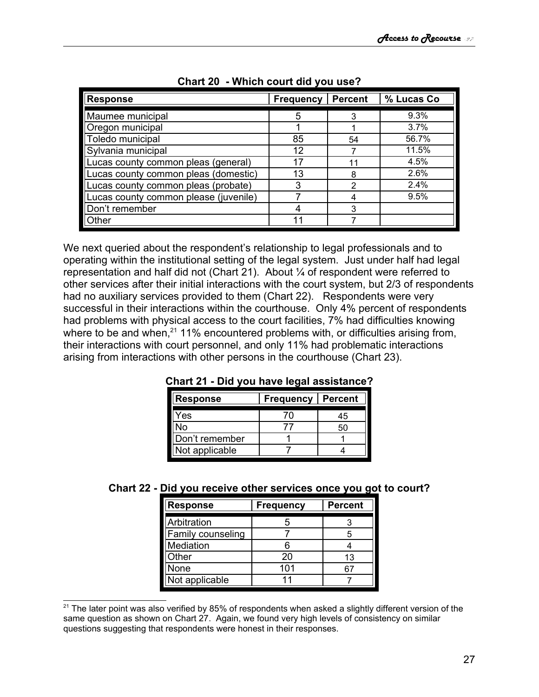| <b>Response</b>                       | <b>Frequency</b> | <b>Percent</b> | % Lucas Co |
|---------------------------------------|------------------|----------------|------------|
| Maumee municipal                      | 5                | 3              | 9.3%       |
| Oregon municipal                      |                  |                | 3.7%       |
| Toledo municipal                      | 85               | 54             | 56.7%      |
| Sylvania municipal                    | 12               |                | 11.5%      |
| Lucas county common pleas (general)   | 17               | 11             | 4.5%       |
| Lucas county common pleas (domestic)  | 13               | 8              | 2.6%       |
| Lucas county common pleas (probate)   | 3                | 2              | $2.4\%$    |
| Lucas county common please (juvenile) |                  | 4              | 9.5%       |
| Don't remember                        |                  | 3              |            |
| Other                                 | 11               |                |            |

| Chart 20 - Which court did you use? |
|-------------------------------------|
|-------------------------------------|

We next queried about the respondent's relationship to legal professionals and to operating within the institutional setting of the legal system. Just under half had legal representation and half did not (Chart 21). About ¼ of respondent were referred to other services after their initial interactions with the court system, but 2/3 of respondents had no auxiliary services provided to them (Chart 22). Respondents were very successful in their interactions within the courthouse. Only 4% percent of respondents had problems with physical access to the court facilities, 7% had difficulties knowing where to be and when,<sup>[21](#page-26-0)</sup> 11% encountered problems with, or difficulties arising from, their interactions with court personnel, and only 11% had problematic interactions arising from interactions with other persons in the courthouse (Chart 23).

| <b>Response</b> | <b>Frequency</b> | <b>Percent</b> |
|-----------------|------------------|----------------|
| Yes             | 7Λ               | 45             |
| N٥              |                  | 50             |
| Don't remember  |                  |                |
| Not applicable  |                  |                |

|  | Chart 21 - Did you have legal assistance? |  |
|--|-------------------------------------------|--|
|--|-------------------------------------------|--|

|  |  |  | Chart 22 - Did you receive other services once you got to court? |
|--|--|--|------------------------------------------------------------------|
|--|--|--|------------------------------------------------------------------|

| <b>Response</b>   | <b>Frequency</b> | <b>Percent</b> |
|-------------------|------------------|----------------|
| Arbitration       |                  |                |
| Family counseling |                  |                |
| Mediation         |                  |                |
| Other             | 20               | 13             |
| None              | 101              |                |
| Not applicable    |                  |                |

<span id="page-26-0"></span><sup>&</sup>lt;sup>21</sup> The later point was also verified by 85% of respondents when asked a slightly different version of the same question as shown on Chart 27. Again, we found very high levels of consistency on similar questions suggesting that respondents were honest in their responses.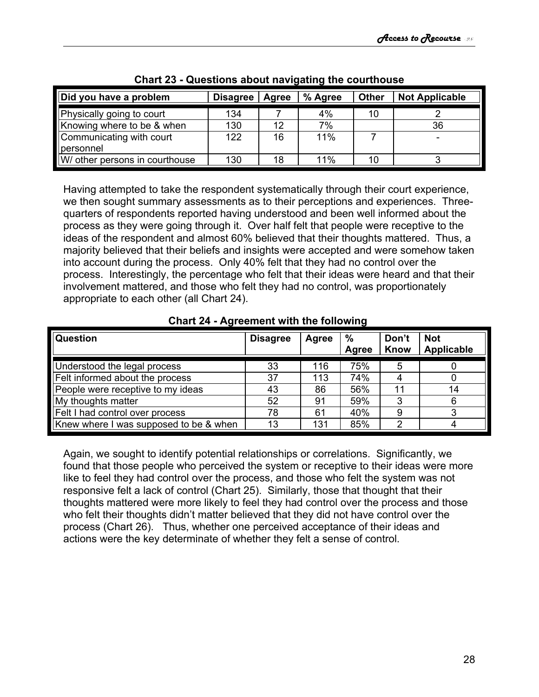| Did you have a problem                | <b>Disagree</b> | Agree | % Agree | <b>Other</b> | <b>Not Applicable</b> |  |
|---------------------------------------|-----------------|-------|---------|--------------|-----------------------|--|
| Physically going to court             | 134             |       | 4%      | 10           |                       |  |
| Knowing where to be & when            | 130             | 12    | 7%      |              | 36                    |  |
| Communicating with court<br>personnel | 122             | 16    | 11%     |              |                       |  |
| W/ other persons in courthouse        | 130             | 18    | 11%     | 10           |                       |  |

**Chart 23 - Questions about navigating the courthouse**

Having attempted to take the respondent systematically through their court experience, we then sought summary assessments as to their perceptions and experiences. Threequarters of respondents reported having understood and been well informed about the process as they were going through it. Over half felt that people were receptive to the ideas of the respondent and almost 60% believed that their thoughts mattered. Thus, a majority believed that their beliefs and insights were accepted and were somehow taken into account during the process. Only 40% felt that they had no control over the process. Interestingly, the percentage who felt that their ideas were heard and that their involvement mattered, and those who felt they had no control, was proportionately appropriate to each other (all Chart 24).

**Chart 24 - Agreement with the following**

| Question                               | <b>Disagree</b> | <b>Agree</b> | $\%$  | Don't | <b>Not</b> |
|----------------------------------------|-----------------|--------------|-------|-------|------------|
|                                        |                 |              | Agree | Know  | Applicable |
| Understood the legal process           | 33              | 116          | 75%   | 5     |            |
| Felt informed about the process        | 37              | 113          | 74%   |       |            |
| People were receptive to my ideas      | 43              | 86           | 56%   | 11    | 14         |
| My thoughts matter                     | 52              | 91           | 59%   | 3     | 6          |
| Felt I had control over process        | 78              | 61           | 40%   | 9     | ົ          |
| Knew where I was supposed to be & when | 13              | 131          | 85%   | 2     | 4          |

Again, we sought to identify potential relationships or correlations. Significantly, we found that those people who perceived the system or receptive to their ideas were more like to feel they had control over the process, and those who felt the system was not responsive felt a lack of control (Chart 25). Similarly, those that thought that their thoughts mattered were more likely to feel they had control over the process and those who felt their thoughts didn't matter believed that they did not have control over the process (Chart 26). Thus, whether one perceived acceptance of their ideas and actions were the key determinate of whether they felt a sense of control.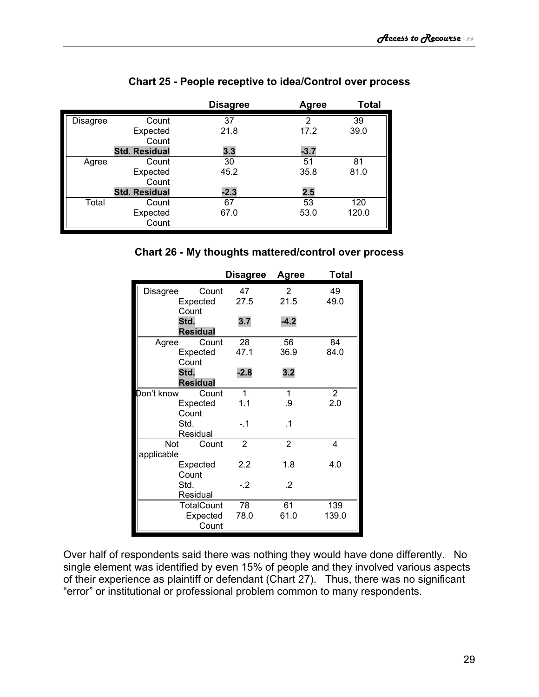|          |                      | <b>Disagree</b> | Agree  | <b>Total</b> |
|----------|----------------------|-----------------|--------|--------------|
| Disagree | Count                | 37              | 2      | 39           |
|          | Expected             | 21.8            | 17.2   | 39.0         |
|          | Count                |                 |        |              |
|          | <b>Std. Residual</b> | 3.3             | $-3.7$ |              |
| Agree    | Count                | 30              | 51     | 81           |
|          | Expected             | 45.2            | 35.8   | 81.0         |
|          | Count                |                 |        |              |
|          | <b>Std. Residual</b> | $-2.3$          | 2.5    |              |
| Total    | Count                | 67              | 53     | 120          |
|          | Expected             | 67.0            | 53.0   | 120.0        |
|          | Count                |                 |        |              |

### **Chart 25 - People receptive to idea/Control over process**



|            |                   | <b>Disagree</b> | <b>Agree</b>   | <b>Total</b>   |
|------------|-------------------|-----------------|----------------|----------------|
| Disagree   | Count             | 47              | $\overline{2}$ | 49             |
|            | Expected          | 27.5            | 21.5           | 49.0           |
|            | Count             |                 |                |                |
| Std.       |                   | 3.7             | $-4.2$         |                |
|            | <b>Residual</b>   |                 |                |                |
| Agree      | Count             | 28              | 56             | 84             |
|            | Expected          | 47.1            | 36.9           | 84.0           |
|            | Count             |                 |                |                |
| Std.       |                   | $-2.8$          | 3.2            |                |
|            | <b>Residual</b>   |                 |                |                |
| Don't know | Count             | 1               | 1              | $\overline{2}$ |
|            | Expected          | 1.1             | .9             | 2.0            |
|            | Count             |                 |                |                |
| Std.       |                   | $-1$            | $\cdot$ 1      |                |
|            | Residual          |                 |                |                |
| Not        | Count             | $\overline{2}$  | $\overline{2}$ | 4              |
| applicable |                   |                 |                |                |
|            | Expected          | 2.2             | 1.8            | 4.0            |
|            | Count             |                 |                |                |
| Std.       |                   | $-2$            | .2             |                |
|            | Residual          |                 |                |                |
|            | <b>TotalCount</b> | 78              | 61             | 139            |
|            | Expected          | 78.0            | 61.0           | 139.0          |
|            | Count             |                 |                |                |

Over half of respondents said there was nothing they would have done differently. No single element was identified by even 15% of people and they involved various aspects of their experience as plaintiff or defendant (Chart 27). Thus, there was no significant "error" or institutional or professional problem common to many respondents.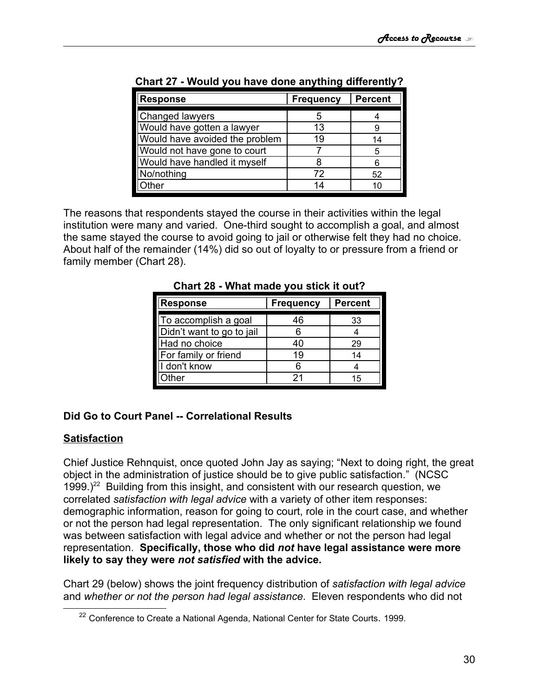| <b>Response</b>                | <b>Frequency</b> | <b>Percent</b> |
|--------------------------------|------------------|----------------|
| Changed lawyers                |                  |                |
| Would have gotten a lawyer     | 13               |                |
| Would have avoided the problem | 19               | 14             |
| Would not have gone to court   |                  | 5              |
| Would have handled it myself   |                  |                |
| No/nothing                     | 72               | 52             |
| ther                           | 14               |                |

**Chart 27 - Would you have done anything differently?**

The reasons that respondents stayed the course in their activities within the legal institution were many and varied. One-third sought to accomplish a goal, and almost the same stayed the course to avoid going to jail or otherwise felt they had no choice. About half of the remainder (14%) did so out of loyalty to or pressure from a friend or family member (Chart 28).

| <b>Response</b>           | <b>Frequency</b> | <b>Percent</b> |
|---------------------------|------------------|----------------|
| To accomplish a goal      | 46               | 33             |
| Didn't want to go to jail |                  |                |
| Had no choice             | 40               | 29             |
| For family or friend      | 19               | 14             |
| I don't know              |                  |                |
| )ther                     | 21               | 15             |

**Chart 28 - What made you stick it out?**

## <span id="page-29-0"></span>**Did Go to Court Panel -- Correlational Results**

## **Satisfaction**

Chief Justice Rehnquist, once quoted John Jay as saying; "Next to doing right, the great object in the administration of justice should be to give public satisfaction." (NCSC 1999.)<sup>[22](#page-29-1)</sup> Building from this insight, and consistent with our research question, we correlated *satisfaction with legal advice* with a variety of other item responses: demographic information, reason for going to court, role in the court case, and whether or not the person had legal representation. The only significant relationship we found was between satisfaction with legal advice and whether or not the person had legal representation. **Specifically, those who did** *not* **have legal assistance were more likely to say they were** *not satisfied* **with the advice.**

Chart 29 (below) shows the joint frequency distribution of *satisfaction with legal advice* and *whether or not the person had legal assistance*. Eleven respondents who did not

<span id="page-29-1"></span><sup>&</sup>lt;sup>22</sup> Conference to Create a National Agenda, National Center for State Courts. 1999.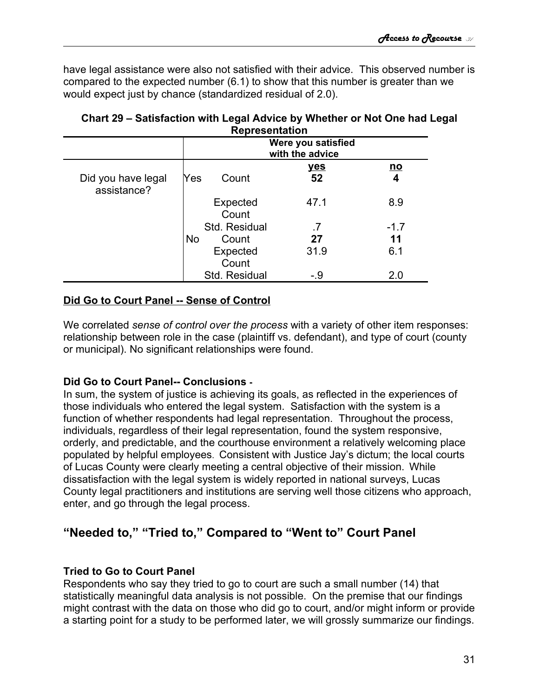have legal assistance were also not satisfied with their advice. This observed number is compared to the expected number (6.1) to show that this number is greater than we would expect just by chance (standardized residual of 2.0).

|                                   | <b>NEPIESEHIAUVH</b>                  |                   |                  |                |
|-----------------------------------|---------------------------------------|-------------------|------------------|----------------|
|                                   | Were you satisfied<br>with the advice |                   |                  |                |
| Did you have legal<br>assistance? | Yes                                   | Count             | <u>yes</u><br>52 | <u>no</u><br>4 |
|                                   |                                       | Expected<br>Count | 47.1             | 8.9            |
|                                   |                                       | Std. Residual     | .7               | $-1.7$         |
|                                   | <b>No</b>                             | Count             | 27               | 11             |
|                                   |                                       | Expected<br>Count | 31.9             | 6.1            |
|                                   |                                       | Std. Residual     | -.9              | 2.0            |

#### **Chart 29 – Satisfaction with Legal Advice by Whether or Not One had Legal Representation**

## **Did Go to Court Panel -- Sense of Control**

We correlated *sense of control over the process* with a variety of other item responses: relationship between role in the case (plaintiff vs. defendant), and type of court (county or municipal). No significant relationships were found.

## <span id="page-30-2"></span>**Did Go to Court Panel-- Conclusions -**

In sum, the system of justice is achieving its goals, as reflected in the experiences of those individuals who entered the legal system. Satisfaction with the system is a function of whether respondents had legal representation. Throughout the process, individuals, regardless of their legal representation, found the system responsive, orderly, and predictable, and the courthouse environment a relatively welcoming place populated by helpful employees. Consistent with Justice Jay's dictum; the local courts of Lucas County were clearly meeting a central objective of their mission. While dissatisfaction with the legal system is widely reported in national surveys, Lucas County legal practitioners and institutions are serving well those citizens who approach, enter, and go through the legal process.

# <span id="page-30-1"></span>**"Needed to," "Tried to," Compared to "Went to" Court Panel**

## <span id="page-30-0"></span>**Tried to Go to Court Panel**

Respondents who say they tried to go to court are such a small number (14) that statistically meaningful data analysis is not possible. On the premise that our findings might contrast with the data on those who did go to court, and/or might inform or provide a starting point for a study to be performed later, we will grossly summarize our findings.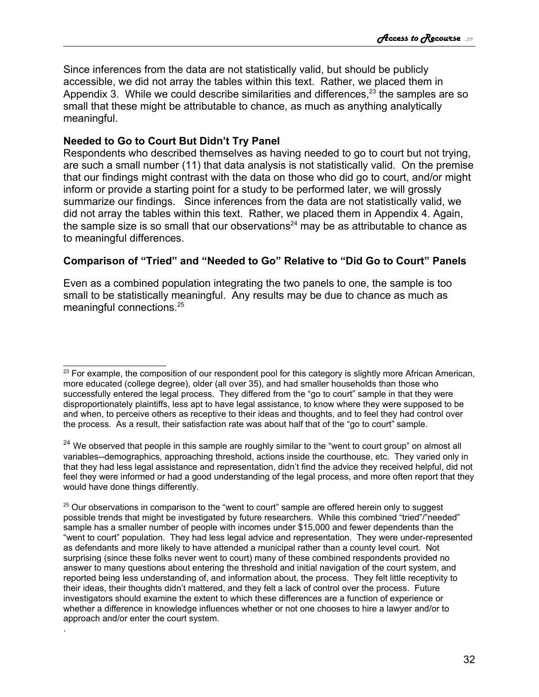Since inferences from the data are not statistically valid, but should be publicly accessible, we did not array the tables within this text. Rather, we placed them in Appendix 3. While we could describe similarities and differences,<sup>[23](#page-31-2)</sup> the samples are so small that these might be attributable to chance, as much as anything analytically meaningful.

### <span id="page-31-1"></span>**Needed to Go to Court But Didn't Try Panel**

.

Respondents who described themselves as having needed to go to court but not trying, are such a small number (11) that data analysis is not statistically valid. On the premise that our findings might contrast with the data on those who did go to court, and/or might inform or provide a starting point for a study to be performed later, we will grossly summarize our findings. Since inferences from the data are not statistically valid, we did not array the tables within this text. Rather, we placed them in Appendix 4. Again, the sample size is so small that our observations<sup>[24](#page-31-3)</sup> may be as attributable to chance as to meaningful differences.

## <span id="page-31-0"></span>**Comparison of "Tried" and "Needed to Go" Relative to "Did Go to Court" Panels**

Even as a combined population integrating the two panels to one, the sample is too small to be statistically meaningful. Any results may be due to chance as much as meaningful connections.[25](#page-31-4)

<span id="page-31-2"></span><sup>&</sup>lt;sup>23</sup> For example, the composition of our respondent pool for this category is slightly more African American, more educated (college degree), older (all over 35), and had smaller households than those who successfully entered the legal process. They differed from the "go to court" sample in that they were disproportionately plaintiffs, less apt to have legal assistance, to know where they were supposed to be and when, to perceive others as receptive to their ideas and thoughts, and to feel they had control over the process. As a result, their satisfaction rate was about half that of the "go to court" sample.

<span id="page-31-3"></span><sup>&</sup>lt;sup>24</sup> We observed that people in this sample are roughly similar to the "went to court group" on almost all variables--demographics, approaching threshold, actions inside the courthouse, etc. They varied only in that they had less legal assistance and representation, didn't find the advice they received helpful, did not feel they were informed or had a good understanding of the legal process, and more often report that they would have done things differently.

<span id="page-31-4"></span> $25$  Our observations in comparison to the "went to court" sample are offered herein only to suggest possible trends that might be investigated by future researchers. While this combined "tried"/"needed" sample has a smaller number of people with incomes under \$15,000 and fewer dependents than the "went to court" population. They had less legal advice and representation. They were under-represented as defendants and more likely to have attended a municipal rather than a county level court. Not surprising (since these folks never went to court) many of these combined respondents provided no answer to many questions about entering the threshold and initial navigation of the court system, and reported being less understanding of, and information about, the process. They felt little receptivity to their ideas, their thoughts didn't mattered, and they felt a lack of control over the process. Future investigators should examine the extent to which these differences are a function of experience or whether a difference in knowledge influences whether or not one chooses to hire a lawyer and/or to approach and/or enter the court system.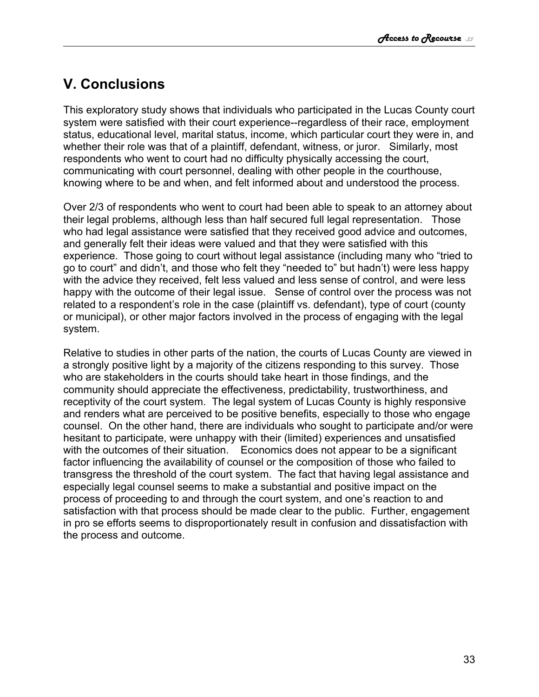# <span id="page-32-0"></span>**V. Conclusions**

This exploratory study shows that individuals who participated in the Lucas County court system were satisfied with their court experience--regardless of their race, employment status, educational level, marital status, income, which particular court they were in, and whether their role was that of a plaintiff, defendant, witness, or juror. Similarly, most respondents who went to court had no difficulty physically accessing the court, communicating with court personnel, dealing with other people in the courthouse, knowing where to be and when, and felt informed about and understood the process.

Over 2/3 of respondents who went to court had been able to speak to an attorney about their legal problems, although less than half secured full legal representation. Those who had legal assistance were satisfied that they received good advice and outcomes, and generally felt their ideas were valued and that they were satisfied with this experience. Those going to court without legal assistance (including many who "tried to go to court" and didn't, and those who felt they "needed to" but hadn't) were less happy with the advice they received, felt less valued and less sense of control, and were less happy with the outcome of their legal issue. Sense of control over the process was not related to a respondent's role in the case (plaintiff vs. defendant), type of court (county or municipal), or other major factors involved in the process of engaging with the legal system.

Relative to studies in other parts of the nation, the courts of Lucas County are viewed in a strongly positive light by a majority of the citizens responding to this survey. Those who are stakeholders in the courts should take heart in those findings, and the community should appreciate the effectiveness, predictability, trustworthiness, and receptivity of the court system. The legal system of Lucas County is highly responsive and renders what are perceived to be positive benefits, especially to those who engage counsel. On the other hand, there are individuals who sought to participate and/or were hesitant to participate, were unhappy with their (limited) experiences and unsatisfied with the outcomes of their situation. Economics does not appear to be a significant factor influencing the availability of counsel or the composition of those who failed to transgress the threshold of the court system. The fact that having legal assistance and especially legal counsel seems to make a substantial and positive impact on the process of proceeding to and through the court system, and one's reaction to and satisfaction with that process should be made clear to the public. Further, engagement in pro se efforts seems to disproportionately result in confusion and dissatisfaction with the process and outcome.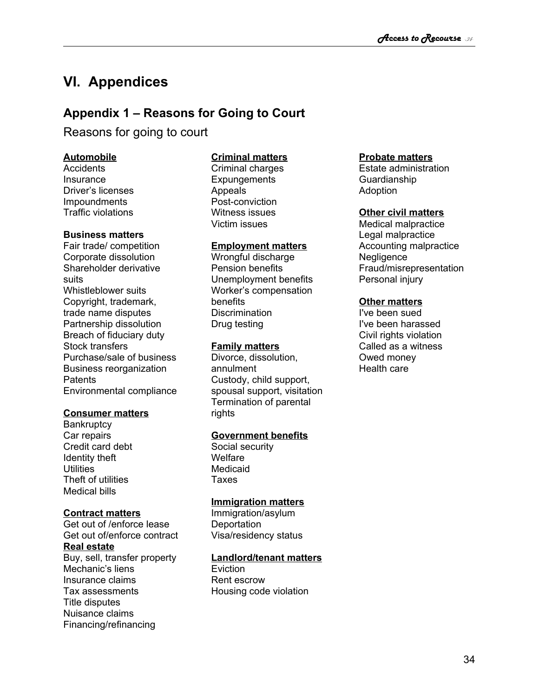# <span id="page-33-1"></span>**VI. Appendices**

# <span id="page-33-0"></span>**Appendix 1 – Reasons for Going to Court**

Reasons for going to court

#### **Automobile**

Accidents **Insurance** Driver's licenses Impoundments Traffic violations

#### **Business matters**

Fair trade/ competition Corporate dissolution Shareholder derivative suits Whistleblower suits Copyright, trademark, trade name disputes Partnership dissolution Breach of fiduciary duty Stock transfers Purchase/sale of business Business reorganization **Patents** Environmental compliance

#### **Consumer matters**

**Bankruptcy** Car repairs Credit card debt Identity theft **Utilities** Theft of utilities Medical bills

#### **Contract matters**

Get out of /enforce lease Get out of/enforce contract **Real estate** Buy, sell, transfer property Mechanic's liens Insurance claims Tax assessments Title disputes Nuisance claims Financing/refinancing

### **Criminal matters**

Criminal charges **Expungements** Appeals Post-conviction Witness issues Victim issues

#### **Employment matters**

Wrongful discharge Pension benefits Unemployment benefits Worker's compensation benefits **Discrimination** Drug testing

### **Family matters**

Divorce, dissolution, annulment Custody, child support, spousal support, visitation Termination of parental rights

### **Government benefits**

Social security **Welfare** Medicaid Taxes

#### **Immigration matters**

Immigration/asylum **Deportation** Visa/residency status

#### **Landlord/tenant matters**

**Eviction** Rent escrow Housing code violation

#### **Probate matters**

Estate administration Guardianship Adoption

#### **Other civil matters**

Medical malpractice Legal malpractice Accounting malpractice **Negligence** Fraud/misrepresentation Personal injury

#### **Other matters**

I've been sued I've been harassed Civil rights violation Called as a witness Owed money Health care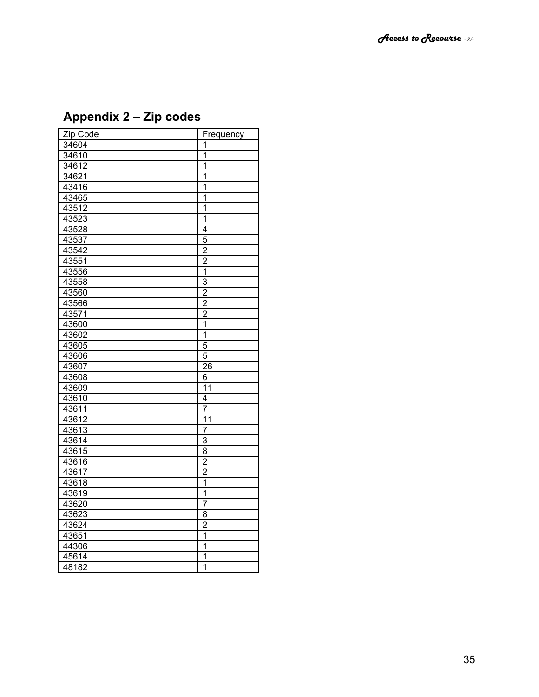| Zip Code | Frequency               |
|----------|-------------------------|
| 34604    | 1                       |
| 34610    | $\overline{1}$          |
| 34612    | $\overline{1}$          |
| 34621    | 1                       |
| 43416    | 1                       |
| 43465    | $\overline{1}$          |
| 43512    | $\overline{1}$          |
| 43523    | 1                       |
| 43528    | $\overline{4}$          |
| 43537    | $\overline{5}$          |
| 43542    | $\overline{2}$          |
| 43551    | $\overline{2}$          |
| 43556    | $\overline{\mathbf{1}}$ |
| 43558    | $\overline{3}$          |
| 43560    | $\overline{2}$          |
| 43566    | $\frac{2}{2}$           |
| 43571    |                         |
| 43600    |                         |
| 43602    | $\overline{1}$          |
| 43605    | $\overline{5}$          |
| 43606    | $\overline{5}$          |
| 43607    | $\overline{26}$         |
| 43608    | 6                       |
| 43609    | $\overline{11}$         |
| 43610    | 4                       |
| 43611    | $\overline{7}$          |
| 43612    | $\overline{11}$         |
| 43613    | 7                       |
| 43614    | $\overline{3}$          |
| 43615    | $\overline{8}$          |
| 43616    | $\frac{2}{2}$           |
| 43617    |                         |
| 43618    | $\overline{\mathbf{1}}$ |
| 43619    | $\overline{1}$          |
| 43620    | $\overline{7}$          |
| 43623    | $\overline{8}$          |
| 43624    | $\overline{2}$          |
| 43651    | $\overline{1}$          |
| 44306    | 1                       |
| 45614    | $\overline{1}$          |
| 48182    | $\overline{\mathbf{1}}$ |

# <span id="page-34-0"></span>**Appendix 2 – Zip codes**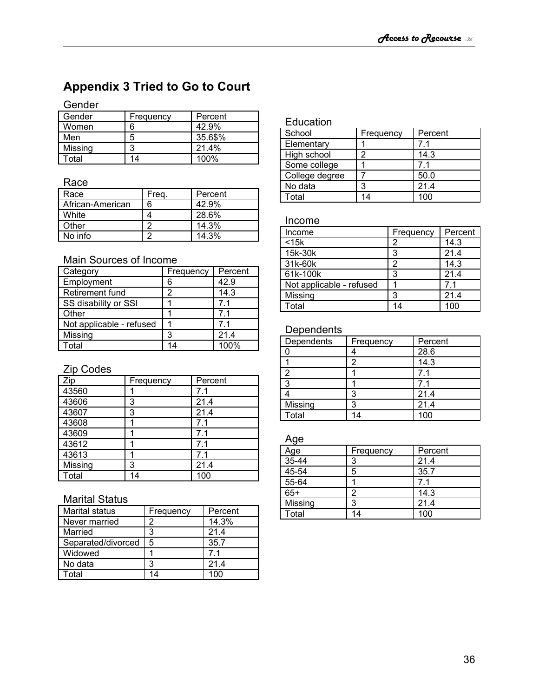# <span id="page-35-0"></span>**Appendix 3 Tried to Go to Court**

## Gender

| Gender  | Frequency | Percent |
|---------|-----------|---------|
| Women   | հ         | 42.9%   |
| Men     | 5         | 35.6\$% |
| Missing |           | 21.4%   |
| Total   | 14        | 100%    |

#### Race

| Race             | Freg. | Percent |
|------------------|-------|---------|
| African-American | 6     | 42.9%   |
| White            |       | 28.6%   |
| Other            |       | 14.3%   |
| No info          |       | 14.3%   |

### Main Sources of Income

| Category                 | Frequency | Percent |
|--------------------------|-----------|---------|
| Employment               | 6         | 42.9    |
| Retirement fund          | 2         | 14.3    |
| SS disability or SSI     |           | 7.1     |
| Other                    |           | 71      |
| Not applicable - refused |           | 71      |
| Missing                  | З         | 214     |
| Total                    | 14        | 100%    |

## Zip Codes

| Zip     | Frequency | Percent |
|---------|-----------|---------|
| 43560   |           | 7.1     |
| 43606   | 3         | 21.4    |
| 43607   | 3         | 21.4    |
| 43608   |           | 7.1     |
| 43609   |           | 7.1     |
| 43612   |           | 7.1     |
| 43613   |           | 7.1     |
| Missing | 3         | 21.4    |
| Total   | 14        | 100     |

#### Marital Status

| <b>Marital status</b> | Frequency | Percent          |
|-----------------------|-----------|------------------|
| Never married         |           | 14.3%            |
| Married               | 3         | 21.4             |
| Separated/divorced    | 5         | 35.7             |
| Widowed               |           | 71               |
| No data               | 2         | 21.4             |
| otal <sup>-</sup>     | 14        | 100 <sub>1</sub> |

#### Education

| School         | Frequency | Percent |
|----------------|-----------|---------|
| Elementary     |           | 71      |
| High school    | າ         | 14.3    |
| Some college   |           | 71      |
| College degree |           | 50.0    |
| No data        | ঽ         | 21.4    |
| Total          | 14        | 100     |

#### Income

| Income                   | Frequency | Percent |
|--------------------------|-----------|---------|
| $<$ 15 $k$               |           | 14.3    |
| 15k-30k                  | 3         | 21.4    |
| 31k-60k                  | 2         | 14.3    |
| 61k-100k                 | 3         | 21.4    |
| Not applicable - refused |           | 7.1     |
| Missing                  | 3         | 21.4    |
| Total                    | 14        | 100     |

### **Dependents**

| Dependents | Frequency | Percent |
|------------|-----------|---------|
|            |           | 28.6    |
|            | 2         | 14.3    |
| 2          |           | 71      |
| 3          |           | 71      |
|            | 3         | 21.4    |
| Missing    | 3         | 21.4    |
| Total      |           | 100     |

#### Age

| Age       | Frequency | Percent |
|-----------|-----------|---------|
| $35 - 44$ | 3         | 21.4    |
| 45-54     | 5         | 35.7    |
| 55-64     |           | 71      |
| $65+$     | າ         | 14.3    |
| Missing   | ঽ         | 21.4    |
| Total     | 14        | 100     |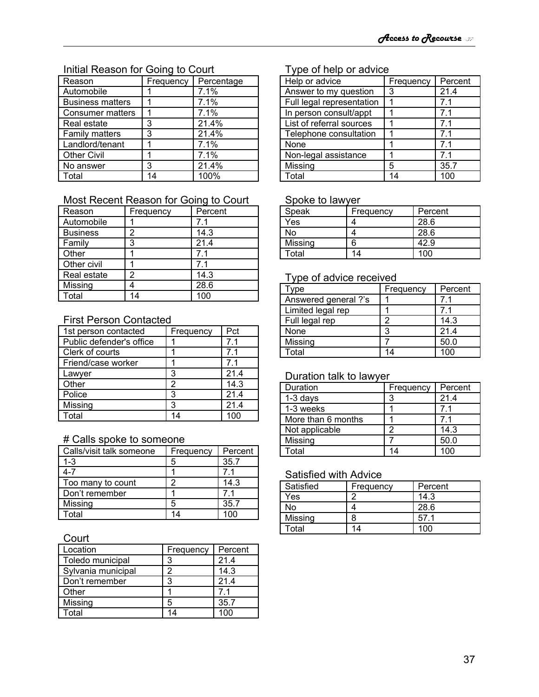## Initial Reason for Going to Court

| Reason                  | Frequency | Percentage |
|-------------------------|-----------|------------|
| Automobile              |           | 7.1%       |
| <b>Business matters</b> |           | 7.1%       |
| Consumer matters        |           | 7.1%       |
| Real estate             | 3         | 21.4%      |
| <b>Family matters</b>   | 3         | 21.4%      |
| Landlord/tenant         |           | 7.1%       |
| <b>Other Civil</b>      |           | 7.1%       |
| No answer               | 3         | 21.4%      |
| Total                   | 14        | 100%       |

## Most Recent Reason for Going to Court

| Reason          | Frequency | Percent        |
|-----------------|-----------|----------------|
| Automobile      |           | 7.1            |
| <b>Business</b> | 2         | 14.3           |
| Family          | 3         | 21.4           |
| Other           |           | 71             |
| Other civil     |           | 7 <sub>1</sub> |
| Real estate     | 2         | 14.3           |
| Missing         |           | 28.6           |
| Total           |           |                |

#### First Person Contacted

| 1st person contacted     | Frequency | Pct  |
|--------------------------|-----------|------|
| Public defender's office |           | 7.1  |
| Clerk of courts          |           | 7.1  |
| Friend/case worker       |           | 7.1  |
| Lawyer                   | 3         | 21.4 |
| Other                    | 2         | 14.3 |
| Police                   | 3         | 21.4 |
| Missing                  | 3         | 21.4 |
| Total                    | 14        | 100  |

### # Calls spoke to someone

| Calls/visit talk someone | Frequency | Percent |
|--------------------------|-----------|---------|
| $1 - 3$                  | 5         | 35.7    |
| 4-7                      |           | 71      |
| Too many to count        | o         | 14.3    |
| Don't remember           |           | 71      |
| Missing                  | 5         | 35.7    |
| Total                    | 14        | INO     |

#### **Court**

| Location           | Frequency | Percent |
|--------------------|-----------|---------|
| Toledo municipal   | 3         | 21.4    |
| Sylvania municipal |           | 14.3    |
| Don't remember     | 3         | 21.4    |
| Other              |           | 71      |
| Missing            | 5         | 35.7    |
| Total              | 14        | 100     |

## Type of help or advice

| Help or advice            | Frequency | Percent |
|---------------------------|-----------|---------|
| Answer to my question     | 3         | 21.4    |
| Full legal representation |           | 7.1     |
| In person consult/appt    |           | 7.1     |
| List of referral sources  |           | 7.1     |
| Telephone consultation    |           | 7.1     |
| None                      |           | 7.1     |
| Non-legal assistance      |           | 7.1     |
| Missing                   | 5         | 35.7    |
| Total                     |           |         |

#### Spoke to lawyer

| Speak   | Frequency | Percent |
|---------|-----------|---------|
| Yes     |           | 28.6    |
| No      |           | 28.6    |
| Missing | ค         | 42.9    |
| Total   | 14        | 100     |

## Type of advice received

| ype                  | Frequency | Percent |
|----------------------|-----------|---------|
| Answered general ?'s |           |         |
| Limited legal rep    |           |         |
| Full legal rep       | 2         | 14.3    |
| None                 | 3         | 21.4    |
| Missing              |           | 50.0    |
| Total                | 14        |         |

#### Duration talk to lawyer

| Duration           | Frequency | Percent |
|--------------------|-----------|---------|
| $1-3$ days         | 3         | 21.4    |
| 1-3 weeks          |           |         |
| More than 6 months |           | 71      |
| Not applicable     | າ         | 14.3    |
| Missing            |           | 50.0    |
| Total              |           |         |

## Satisfied with Advice

| Satisfied | Frequency | Percent |
|-----------|-----------|---------|
| Yes       |           | 14.3    |
| No        |           | 28.6    |
| Missing   | R         | 57.1    |
| Total     | 14        | 100     |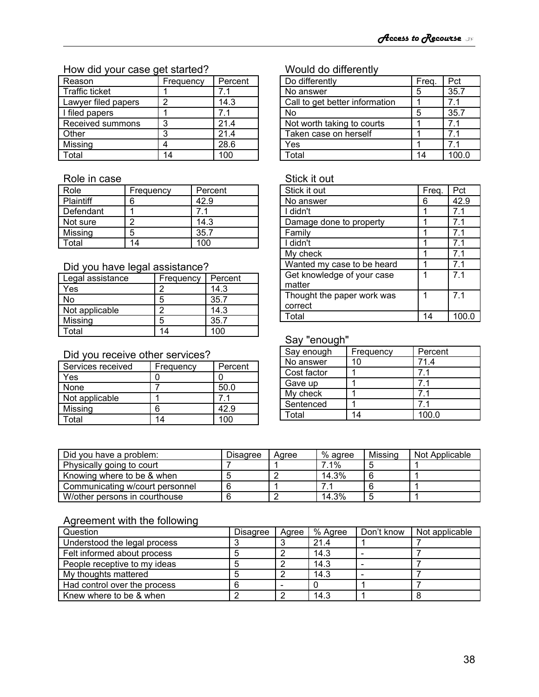## How did your case get started?

| Reason                | Frequency | Percent |
|-----------------------|-----------|---------|
| <b>Traffic ticket</b> |           | 71      |
| Lawyer filed papers   |           | 14.3    |
| I filed papers        |           | 7.1     |
| Received summons      | 3         | 21.4    |
| Other                 | 3         | 21.4    |
| Missing               |           | 28.6    |
| <b>Total</b>          |           | 100     |

#### Role in case

| Role      | Frequency | Percent |
|-----------|-----------|---------|
| Plaintiff |           | 42.9    |
| Defendant |           |         |
| Not sure  |           | 14.3    |
| Missing   | 5         | 35.7    |
| Total     |           | 100     |

#### Did you have legal assistance?

| Legal assistance | Frequency | Percent |
|------------------|-----------|---------|
| Yes              |           | 14.3    |
| No               | 5         | 35.7    |
| Not applicable   | ╭         | 14.3    |
| Missing          | 5         | 35.7    |
| Total            | 14        | 100     |

## Did you receive other services?

| Services received | Frequency | Percent |
|-------------------|-----------|---------|
| Yes               |           |         |
| None              |           | 50.0    |
| Not applicable    |           |         |
| Missing           |           | 42.9    |
| ⊺otal             | l 4       |         |

## Would do differently

| Do differently                 | Freq. | Pct  |
|--------------------------------|-------|------|
| No answer                      | ٠h    | 35.7 |
| Call to get better information |       | 71   |
| No                             | 5     | 35.7 |
| Not worth taking to courts     |       | 71   |
| Taken case on herself          |       | 71   |
| Yes                            |       | 71   |
| Total                          |       |      |

#### Stick it out

| Stick it out               | Freq. | Pct            |
|----------------------------|-------|----------------|
| No answer                  | 6     | 42.9           |
| I didn't                   | 1     | 7.1            |
| Damage done to property    | 1     | 7.1            |
| Family                     | 1     | 7.1            |
| I didn't                   | 1     | 7.1            |
| My check                   |       | 7.1            |
| Wanted my case to be heard |       | 7.1            |
| Get knowledge of your case | 1     | 7 <sub>1</sub> |
| matter                     |       |                |
| Thought the paper work was | 1     | 7.1            |
| correct                    |       |                |
| Total                      | 14    | 100.C          |

### Say "enough"

| Say enough  | Frequency | Percent |
|-------------|-----------|---------|
| No answer   | 10        | 71.4    |
| Cost factor |           | 71      |
| Gave up     |           | 71      |
| My check    |           | 71      |
| Sentenced   |           | 71      |
| Total       | 14        | 100.0   |

| Did you have a problem:         | Disagree | Aaree | % agree | Missing | Not Applicable |
|---------------------------------|----------|-------|---------|---------|----------------|
| Physically going to court       |          |       | 7.1%    |         |                |
| Knowing where to be & when      |          |       | 14.3%   |         |                |
| Communicating w/court personnel |          |       |         |         |                |
| W/other persons in courthouse   |          |       | 14.3%   |         |                |

## Agreement with the following

| Question                     | Disagree | Aaree | % Agree | Don't know | Not applicable |
|------------------------------|----------|-------|---------|------------|----------------|
| Understood the legal process |          |       | 21.4    |            |                |
| Felt informed about process  |          |       | 14.3    |            |                |
| People receptive to my ideas |          |       | 14.3    |            |                |
| My thoughts mattered         |          |       | 14.3    |            |                |
| Had control over the process |          |       |         |            |                |
| Knew where to be & when      |          |       | 14.3    |            |                |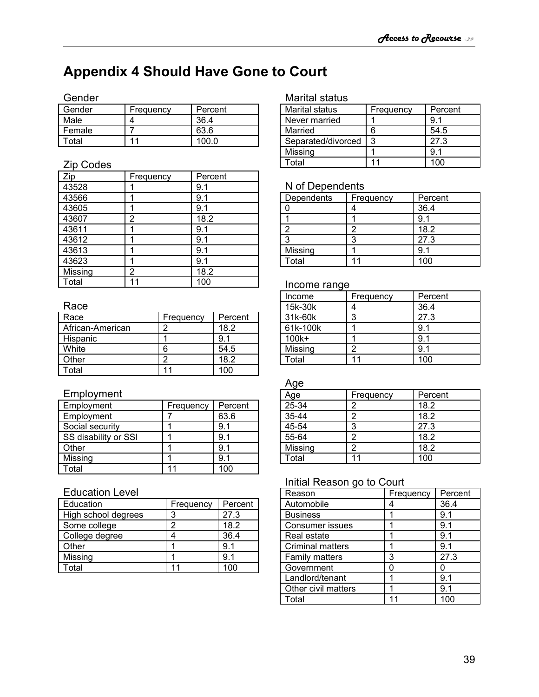# <span id="page-38-0"></span>**Appendix 4 Should Have Gone to Court**

### Gender

| Gender | Frequency | Percent |
|--------|-----------|---------|
| Male   |           | 36.4    |
| Female |           | 63.6    |
| Гоtal  | 44        | 100 O   |

## Zip Codes

| Zip     | Frequency | Percent |
|---------|-----------|---------|
| 43528   |           | 9.1     |
| 43566   |           | 9.1     |
| 43605   |           | 9.1     |
| 43607   | 2         | 18.2    |
| 43611   |           | 9.1     |
| 43612   |           | 9.1     |
| 43613   |           | 9.1     |
| 43623   |           | 9.1     |
| Missing | 2         | 18.2    |
| Total   |           | 100     |

### Race

| Race             | Frequency | Percent |
|------------------|-----------|---------|
| African-American | າ         | 18.2    |
| Hispanic         |           |         |
| White            | 6         | 54.5    |
| Other            |           | 18.2    |
| Гоtal            |           | 100 l   |

## Employment

| Employment           | Frequency | Percent |
|----------------------|-----------|---------|
| Employment           |           | 63.6    |
| Social security      |           | 9.1     |
| SS disability or SSI |           | 91      |
| Other                |           | 9.1     |
| Missing              |           | 9.1     |
| ⊺otal                |           |         |

## Education Level

| Education           | Frequency | Percent |
|---------------------|-----------|---------|
| High school degrees | 2         | 27.3    |
| Some college        |           | 18.2    |
| College degree      |           | 36.4    |
| Other               |           | 9.1     |
| Missing             |           | 91      |
| Гоtal               | 11        |         |

## Marital status

| Marital status     | Frequency | Percent |
|--------------------|-----------|---------|
| Never married      |           | 9.1     |
| Married            | 6         | 54.5    |
| Separated/divorced | 3         | 27.3    |
| Missing            |           | 91      |
| Гоtal              |           |         |

## N of Dependents

| Dependents | Frequency | Percent  |
|------------|-----------|----------|
|            |           | 36.4     |
|            |           |          |
|            |           | 18.2     |
| ◠          | 3         | 27.3     |
| Missing    |           |          |
| Total      |           | 1 $\cap$ |

#### Income range

| Income   | Frequency | Percent |
|----------|-----------|---------|
| 15k-30k  |           | 36.4    |
| 31k-60k  | 3         | 27.3    |
| 61k-100k |           | 9.1     |
| 100k+    |           | 9.1     |
| Missing  |           | 9.1     |
| Total    |           | 100     |

#### Age

| Age       | Frequency | Percent |
|-----------|-----------|---------|
| 25-34     |           | 18.2    |
| $35 - 44$ |           | 18.2    |
| 45-54     | 3         | 27.3    |
| 55-64     |           | 18.2    |
| Missing   |           | 18.2    |
| Total     | 11        | 100     |

## Initial Reason go to Court

| Reason                  | Frequency | Percent |
|-------------------------|-----------|---------|
| Automobile              |           | 36.4    |
| <b>Business</b>         |           | 9.1     |
| Consumer issues         |           | 9.1     |
| Real estate             |           | 9.1     |
| <b>Criminal matters</b> |           | 9.1     |
| <b>Family matters</b>   | 3         | 27.3    |
| Government              | ი         |         |
| Landlord/tenant         |           | 9.1     |
| Other civil matters     |           | 9.1     |
| Total                   |           |         |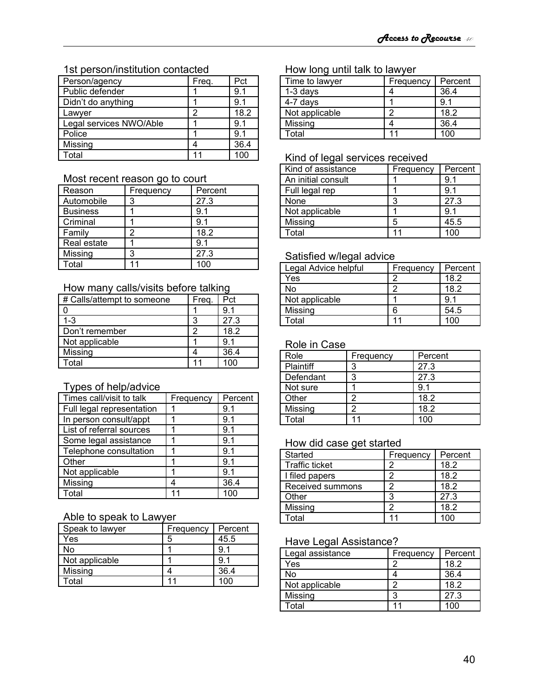#### 1st person/institution contacted

| Person/agency           | Freq. | Pct  |
|-------------------------|-------|------|
| Public defender         |       | 9.1  |
| Didn't do anything      |       | 9.1  |
| Lawyer                  | 2     | 18.2 |
| Legal services NWO/Able |       | 9.1  |
| Police                  |       | 9.1  |
| Missing                 |       | 36.4 |
| Total                   |       |      |

#### Most recent reason go to court

| Reason          | Frequency | Percent |
|-----------------|-----------|---------|
| Automobile      | 3         | 27.3    |
| <b>Business</b> |           | 9.1     |
| Criminal        |           | 9.1     |
| Family          |           | 18.2    |
| Real estate     |           | 9.1     |
| Missing         | З         | 27.3    |
| Гоtal           |           | 100     |

#### How many calls/visits before talking

| # Calls/attempt to someone | Freg. | Pct     |
|----------------------------|-------|---------|
|                            |       | 91      |
| $1 - 3$                    | ว     | 27.3    |
| Don't remember             |       | 18.2    |
| Not applicable             |       | 91      |
| Missing                    |       | 36.4    |
| Гоtal                      |       | $100 -$ |

## Types of help/advice

| Times call/visit to talk  | Frequency | Percent |
|---------------------------|-----------|---------|
| Full legal representation |           | 9.1     |
| In person consult/appt    |           | 9.1     |
| List of referral sources  |           | 9.1     |
| Some legal assistance     |           | 9.1     |
| Telephone consultation    |           | 9.1     |
| Other                     |           | 9.1     |
| Not applicable            |           | 9.1     |
| Missing                   |           | 36.4    |
| <b>Fotal</b>              |           | 100     |

## Able to speak to Lawyer

| Speak to lawyer | Frequency | Percent |
|-----------------|-----------|---------|
| Yes             | 5         | 45.5    |
| No              |           | -9.1    |
| Not applicable  |           | -9.1    |
| Missing         |           | 36.4    |
| Total           |           | 100     |

#### How long until talk to lawyer

| Time to lawyer | Frequency | Percent |
|----------------|-----------|---------|
| $1-3$ days     |           | 36.4    |
| 4-7 days       |           | 9.1     |
| Not applicable | C         | 18.2    |
| Missing        |           | 36.4    |
| Total          |           |         |

### Kind of legal services received

| Kind of assistance | Frequency | Percent |
|--------------------|-----------|---------|
| An initial consult |           | 9.1     |
| Full legal rep     |           | 9.1     |
| None               | 3         | 27.3    |
| Not applicable     |           | 91      |
| Missing            | 5         | 45.5    |
| Total              |           |         |

### Satisfied w/legal advice

| Legal Advice helpful | Frequency | Percent |
|----------------------|-----------|---------|
| Yes                  |           | 18.2    |
| No                   | ÷.        | 18.2    |
| Not applicable       |           | 9.1     |
| Missing              | 6         | 54.5    |
| Total                |           | 100     |

## Role in Case

| Role             | Frequency | Percent |
|------------------|-----------|---------|
| <b>Plaintiff</b> | 3         | 27.3    |
| Defendant        | ৭         | 27.3    |
| Not sure         |           | 9.1     |
| Other            | っ         | 18.2    |
| Missing          | າ         | 18.2    |
| Total            |           | 100     |

#### How did case get started

| <b>Started</b>        | Frequency | Percent |
|-----------------------|-----------|---------|
| <b>Traffic ticket</b> |           | 18.2    |
| I filed papers        | っ         | 18.2    |
| Received summons      |           | 18.2    |
| Other                 | 3         | 27.3    |
| Missing               |           | 18.2    |
| Г∩tal                 |           |         |

## Have Legal Assistance?

| Legal assistance | Frequency | Percent |
|------------------|-----------|---------|
| Yes              |           | 18.2    |
| No               |           | 36.4    |
| Not applicable   | ╭         | 18.2    |
| Missing          | ລ         | 27.3    |
| ⊺otal            |           |         |